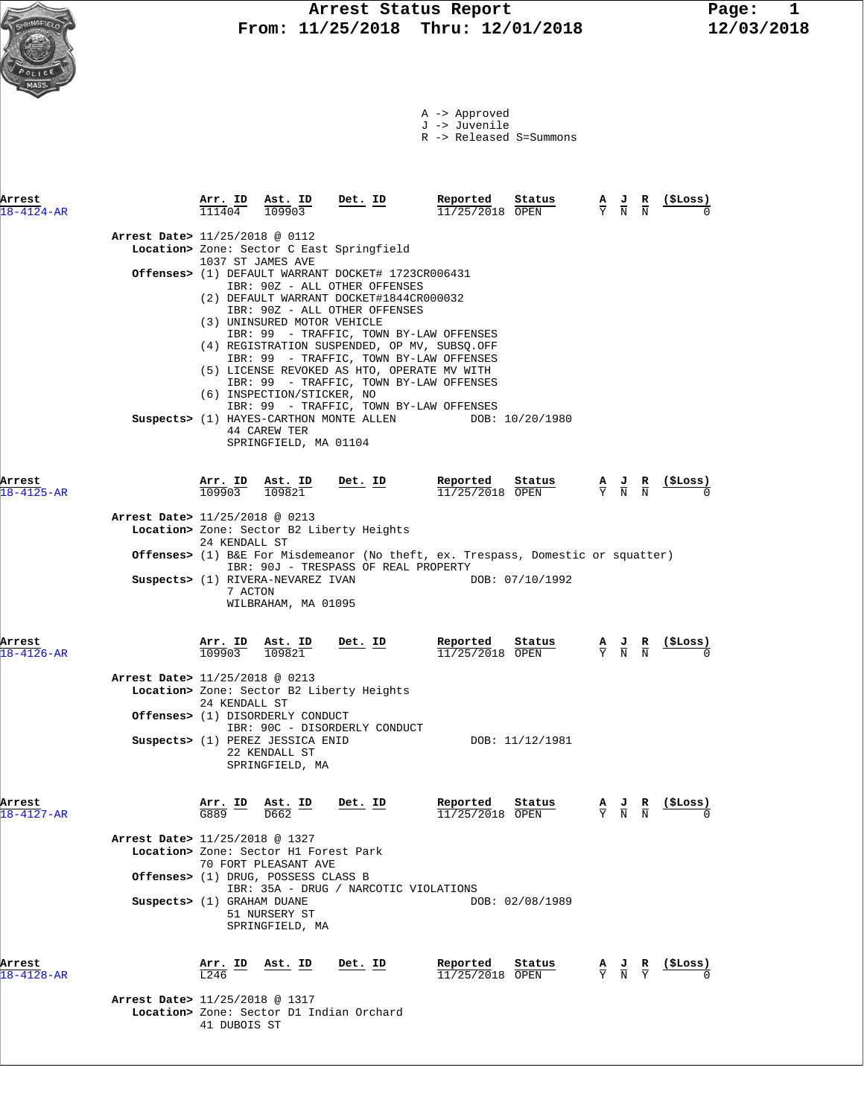

R -> Released S=Summons

| Arrest<br>$18 - 4124 - AR$ |                                | Arr. ID<br>111404 | Ast. ID<br>109903                                                                                        | Det. ID                                                                                                                                                                                                                                                                                                                                                                                                                                                                                               | Reported<br>11/25/2018 OPEN   | Status          | $\frac{\mathbf{A}}{\mathbf{Y}}$ $\frac{\mathbf{J}}{\mathbf{N}}$                                 | $\frac{\mathbf{R}}{\mathbf{N}}$ | (ŞLoss)        |
|----------------------------|--------------------------------|-------------------|----------------------------------------------------------------------------------------------------------|-------------------------------------------------------------------------------------------------------------------------------------------------------------------------------------------------------------------------------------------------------------------------------------------------------------------------------------------------------------------------------------------------------------------------------------------------------------------------------------------------------|-------------------------------|-----------------|-------------------------------------------------------------------------------------------------|---------------------------------|----------------|
|                            | Arrest Date> 11/25/2018 @ 0112 |                   | 1037 ST JAMES AVE                                                                                        | Location> Zone: Sector C East Springfield                                                                                                                                                                                                                                                                                                                                                                                                                                                             |                               |                 |                                                                                                 |                                 |                |
|                            |                                |                   | (3) UNINSURED MOTOR VEHICLE<br>(6) INSPECTION/STICKER, NO<br>44 CAREW TER<br>SPRINGFIELD, MA 01104       | Offenses> (1) DEFAULT WARRANT DOCKET# 1723CR006431<br>IBR: 90Z - ALL OTHER OFFENSES<br>(2) DEFAULT WARRANT DOCKET#1844CR000032<br>IBR: 90Z - ALL OTHER OFFENSES<br>IBR: 99 - TRAFFIC, TOWN BY-LAW OFFENSES<br>(4) REGISTRATION SUSPENDED, OP MV, SUBSQ.OFF<br>IBR: 99 - TRAFFIC, TOWN BY-LAW OFFENSES<br>(5) LICENSE REVOKED AS HTO, OPERATE MV WITH<br>IBR: 99 - TRAFFIC, TOWN BY-LAW OFFENSES<br>IBR: 99 - TRAFFIC, TOWN BY-LAW OFFENSES<br>Suspects> (1) HAYES-CARTHON MONTE ALLEN DOB: 10/20/1980 |                               |                 |                                                                                                 |                                 |                |
| Arrest<br>$18 - 4125 - AR$ |                                | 109903            | Arr. ID Ast. ID<br>109821                                                                                | $Det. ID$                                                                                                                                                                                                                                                                                                                                                                                                                                                                                             | Reported<br>$11/25/2018$ OPEN | Status          | $\frac{A}{Y}$ $\frac{J}{N}$ $\frac{R}{N}$                                                       |                                 | (ŞLoss)        |
|                            | Arrest Date> 11/25/2018 @ 0213 |                   |                                                                                                          | Location> Zone: Sector B2 Liberty Heights                                                                                                                                                                                                                                                                                                                                                                                                                                                             |                               |                 |                                                                                                 |                                 |                |
|                            |                                | 24 KENDALL ST     |                                                                                                          | Offenses> (1) B&E For Misdemeanor (No theft, ex. Trespass, Domestic or squatter)                                                                                                                                                                                                                                                                                                                                                                                                                      |                               |                 |                                                                                                 |                                 |                |
|                            |                                | 7 ACTON           | Suspects> (1) RIVERA-NEVAREZ IVAN<br>WILBRAHAM, MA 01095                                                 | IBR: 90J - TRESPASS OF REAL PROPERTY                                                                                                                                                                                                                                                                                                                                                                                                                                                                  |                               | DOB: 07/10/1992 |                                                                                                 |                                 |                |
| Arrest<br>$18 - 4126 - AR$ |                                | 109903            | Arr. ID Ast. ID<br>109821                                                                                | $Det. ID$                                                                                                                                                                                                                                                                                                                                                                                                                                                                                             | Reported<br>11/25/2018 OPEN   | Status          | $\frac{\mathbf{A}}{\mathbf{Y}}$ $\frac{\mathbf{J}}{\mathbf{N}}$ $\frac{\mathbf{R}}{\mathbf{N}}$ |                                 | <u>(SLoss)</u> |
|                            | Arrest Date> 11/25/2018 @ 0213 | 24 KENDALL ST     | Offenses> (1) DISORDERLY CONDUCT<br>Suspects> (1) PEREZ JESSICA ENID<br>22 KENDALL ST<br>SPRINGFIELD, MA | Location> Zone: Sector B2 Liberty Heights<br>IBR: 90C - DISORDERLY CONDUCT                                                                                                                                                                                                                                                                                                                                                                                                                            |                               | DOB: 11/12/1981 |                                                                                                 |                                 |                |
| Arrest<br>$18 - 4127 - AR$ |                                | Arr. ID<br>G889   | Ast. ID<br>D662                                                                                          | Det. ID                                                                                                                                                                                                                                                                                                                                                                                                                                                                                               | Reported<br>11/25/2018 OPEN   | Status          | $\frac{\mathbf{A}}{\mathbf{Y}}$ $\frac{\mathbf{J}}{\mathbf{N}}$                                 |                                 | <u>(ŞLoss)</u> |
|                            | Arrest Date> 11/25/2018 @ 1327 |                   | Location> Zone: Sector H1 Forest Park<br>70 FORT PLEASANT AVE<br>Offenses> (1) DRUG, POSSESS CLASS B     | IBR: 35A - DRUG / NARCOTIC VIOLATIONS                                                                                                                                                                                                                                                                                                                                                                                                                                                                 |                               |                 |                                                                                                 |                                 |                |
|                            | Suspects> (1) GRAHAM DUANE     |                   | 51 NURSERY ST<br>SPRINGFIELD, MA                                                                         |                                                                                                                                                                                                                                                                                                                                                                                                                                                                                                       |                               | DOB: 02/08/1989 |                                                                                                 |                                 |                |
| Arrest<br>$18 - 4128 - AR$ |                                | Arr. ID<br>L246   | Ast. ID                                                                                                  | Det. ID                                                                                                                                                                                                                                                                                                                                                                                                                                                                                               | Reported<br>$11/25/2018$ OPEN | Status          | $\frac{\mathbf{A}}{\mathbf{Y}}$ $\frac{\mathbf{J}}{\mathbf{N}}$ $\frac{\mathbf{R}}{\mathbf{Y}}$ |                                 | (\$Loss)       |
|                            | Arrest Date> 11/25/2018 @ 1317 | 41 DUBOIS ST      |                                                                                                          | Location> Zone: Sector D1 Indian Orchard                                                                                                                                                                                                                                                                                                                                                                                                                                                              |                               |                 |                                                                                                 |                                 |                |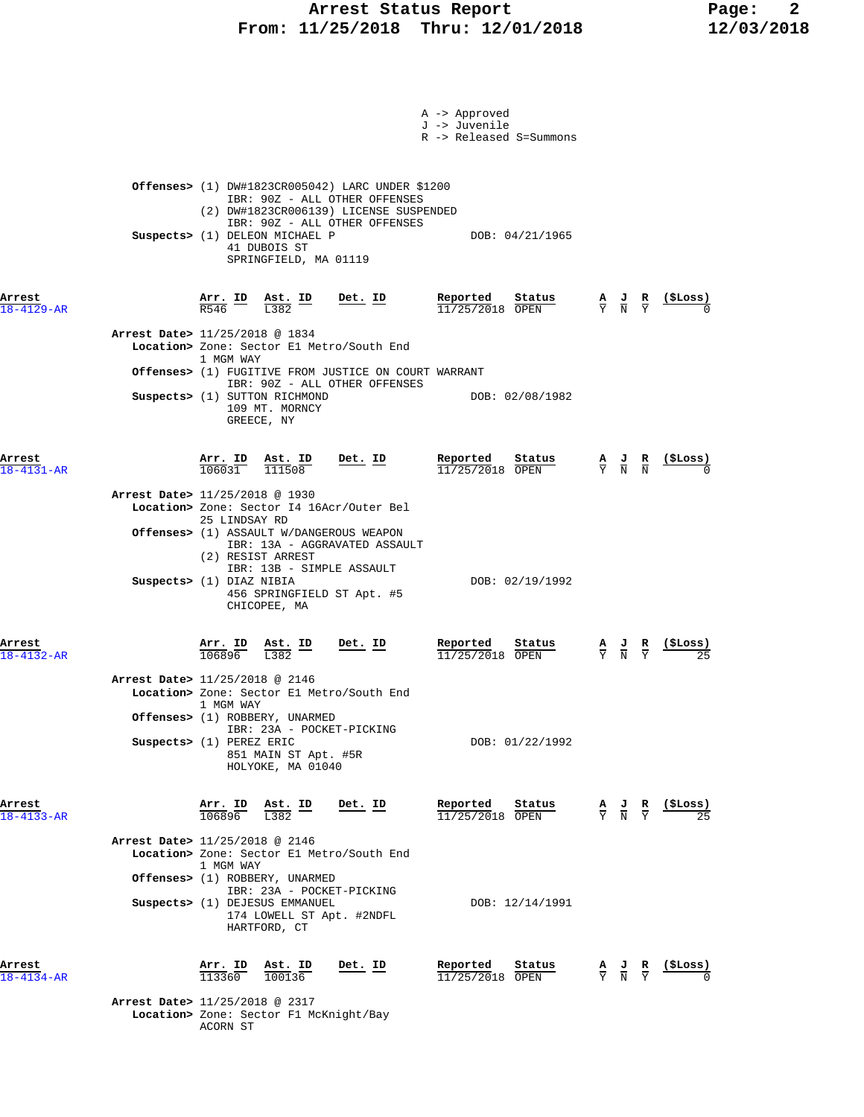### **Arrest Status Report Page: 2 From: 11/25/2018 Thru: 12/01/2018 12/03/2018**

|                            |                                                                                                                                                                                                                                                    | A -> Approved<br>J -> Juvenile<br>R -> Released S=Summons |                                                                                                                    |
|----------------------------|----------------------------------------------------------------------------------------------------------------------------------------------------------------------------------------------------------------------------------------------------|-----------------------------------------------------------|--------------------------------------------------------------------------------------------------------------------|
|                            | <b>Offenses&gt;</b> $(1)$ DW#1823CR005042) LARC UNDER \$1200<br>IBR: 90Z - ALL OTHER OFFENSES<br>(2) DW#1823CR006139) LICENSE SUSPENDED<br>IBR: 90Z - ALL OTHER OFFENSES<br>Suspects> (1) DELEON MICHAEL P                                         | DOB: 04/21/1965                                           |                                                                                                                    |
| Arrest<br>18-4129-AR       | 41 DUBOIS ST<br>SPRINGFIELD, MA 01119<br>$\frac{\text{Arr.}}{\text{R546}}$ ID $\frac{\text{Ast.}}{\text{L382}}$ ID<br><u>Det. ID</u>                                                                                                               | <u>Reported</u><br>Status<br>11/25/2018 OPEN              | <u>(\$Loss)</u><br>$\frac{\mathbf{A}}{\mathbf{Y}}$ $\frac{\mathbf{J}}{\mathbf{N}}$ $\frac{\mathbf{R}}{\mathbf{Y}}$ |
|                            | Arrest Date> 11/25/2018 @ 1834<br>Location> Zone: Sector El Metro/South End<br>1 MGM WAY<br>Offenses> (1) FUGITIVE FROM JUSTICE ON COURT WARRANT<br>IBR: 90Z - ALL OTHER OFFENSES<br>Suspects> (1) SUTTON RICHMOND<br>109 MT. MORNCY<br>GREECE, NY | DOB: 02/08/1982                                           |                                                                                                                    |
| Arrest<br>$18 - 4131 - AR$ | $\frac{\text{Arr. ID}}{106031}$ $\frac{\text{Ast. ID}}{111508}$<br>Det. ID<br>Arrest Date> 11/25/2018 @ 1930<br>Location> Zone: Sector I4 16Acr/Outer Bel                                                                                          | Reported Status<br>$\frac{11}{25}/\frac{2018}{20}$ OPEN   | $\frac{A}{Y}$ $\frac{J}{N}$ $\frac{R}{N}$                                                                          |
|                            | 25 LINDSAY RD<br><b>Offenses&gt;</b> (1) ASSAULT W/DANGEROUS WEAPON<br>IBR: 13A - AGGRAVATED ASSAULT<br>(2) RESIST ARREST<br>IBR: 13B - SIMPLE ASSAULT<br>Suspects> (1) DIAZ NIBIA<br>456 SPRINGFIELD ST Apt. #5<br>CHICOPEE, MA                   | DOB: 02/19/1992                                           |                                                                                                                    |
| Arrest<br>$18 - 4132 - AR$ | <u>Det. ID</u><br>$\frac{\texttt{Arr.}}{106896}$<br>$\frac{\texttt{Ast.}}{\text{L}382}$ ID<br>Arrest Date> 11/25/2018 @ 2146<br>Location> Zone: Sector El Metro/South End                                                                          | Reported<br><u>Status</u><br>$11/25/2018$ OPEN            | $\frac{\mathbf{A}}{\mathbf{Y}}$ $\frac{\mathbf{J}}{\mathbf{N}}$ $\frac{\mathbf{R}}{\mathbf{Y}}$                    |
|                            | 1 MGM WAY<br>Offenses> (1) ROBBERY, UNARMED<br>IBR: 23A - POCKET-PICKING<br>Suspects> (1) PEREZ ERIC<br>851 MAIN ST Apt. #5R<br>HOLYOKE, MA 01040                                                                                                  | DOB: 01/22/1992                                           |                                                                                                                    |
| Arrest<br>$18 - 4133 - AR$ | Arr. ID<br>Ast. ID<br>$\frac{1382}{}$<br>Det. ID<br>106896<br>Arrest Date> 11/25/2018 @ 2146<br>Location> Zone: Sector El Metro/South End                                                                                                          | Reported<br>Status<br>$11/25/2018$ OPEN                   | (\$Loss)<br>$\frac{\mathbf{A}}{\mathbf{Y}}$ $\frac{\mathbf{J}}{\mathbf{N}}$ $\frac{\mathbf{R}}{\mathbf{Y}}$        |
|                            | 1 MGM WAY<br>Offenses> (1) ROBBERY, UNARMED<br>IBR: 23A - POCKET-PICKING<br>Suspects> (1) DEJESUS EMMANUEL<br>174 LOWELL ST Apt. #2NDFL<br>HARTFORD, CT                                                                                            | DOB: 12/14/1991                                           |                                                                                                                    |
| Arrest<br>$18 - 4134 - AR$ | $\frac{\texttt{Arr. ID}}{113360}$<br>$\frac{\texttt{Ast.}}{100136}$<br>Det. ID<br>Arrest Date> 11/25/2018 @ 2317<br>Location> Zone: Sector F1 McKnight/Bay<br>ACORN ST                                                                             | Reported<br>Status<br>$11/25/2018$ OPEN                   | <u>(SLoss)</u><br>$\frac{\mathbf{A}}{\mathbf{Y}}$ $\frac{\mathbf{J}}{\mathbf{N}}$ $\frac{\mathbf{R}}{\mathbf{Y}}$  |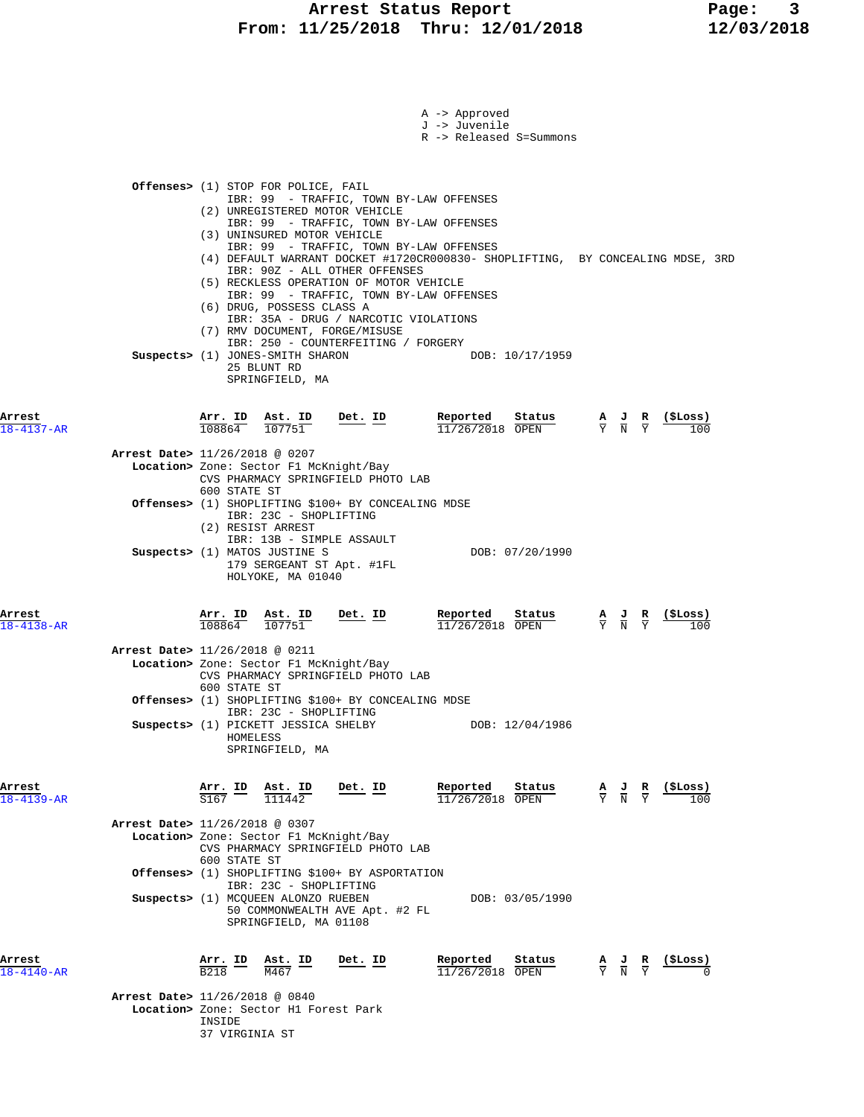|                            |                                                                                                                                                                                                                                                                                                                   | A -> Approved<br>J -> Juvenile<br>R -> Released S=Summons |                                                                                                                   |
|----------------------------|-------------------------------------------------------------------------------------------------------------------------------------------------------------------------------------------------------------------------------------------------------------------------------------------------------------------|-----------------------------------------------------------|-------------------------------------------------------------------------------------------------------------------|
|                            | <b>Offenses&gt;</b> (1) STOP FOR POLICE, FAIL                                                                                                                                                                                                                                                                     |                                                           |                                                                                                                   |
|                            | IBR: 99 - TRAFFIC, TOWN BY-LAW OFFENSES<br>(2) UNREGISTERED MOTOR VEHICLE<br>IBR: 99 - TRAFFIC, TOWN BY-LAW OFFENSES<br>(3) UNINSURED MOTOR VEHICLE<br>IBR: 99 - TRAFFIC, TOWN BY-LAW OFFENSES<br>(4) DEFAULT WARRANT DOCKET #1720CR000830- SHOPLIFTING, BY CONCEALING MDSE, 3RD<br>IBR: 90Z - ALL OTHER OFFENSES |                                                           |                                                                                                                   |
|                            | (5) RECKLESS OPERATION OF MOTOR VEHICLE<br>IBR: 99 - TRAFFIC, TOWN BY-LAW OFFENSES<br>(6) DRUG, POSSESS CLASS A<br>IBR: 35A - DRUG / NARCOTIC VIOLATIONS<br>(7) RMV DOCUMENT, FORGE/MISUSE<br>IBR: 250 - COUNTERFEITING / FORGERY<br>Suspects> (1) JONES-SMITH SHARON<br>25 BLUNT RD<br>SPRINGFIELD, MA           | DOB: 10/17/1959                                           |                                                                                                                   |
| Arrest<br>$18 - 4137 - AR$ | Arr. ID Ast. ID<br><u>Det. ID</u><br>108864<br>107751                                                                                                                                                                                                                                                             | Reported Status<br>11/26/2018 OPEN                        | (ŞLoss)<br>$\frac{A}{Y}$ $\frac{J}{N}$ $\frac{R}{Y}$<br>100                                                       |
|                            | Arrest Date> 11/26/2018 @ 0207<br>Location> Zone: Sector F1 McKnight/Bay<br>CVS PHARMACY SPRINGFIELD PHOTO LAB<br>600 STATE ST                                                                                                                                                                                    |                                                           |                                                                                                                   |
|                            | Offenses> (1) SHOPLIFTING \$100+ BY CONCEALING MDSE<br>IBR: 23C - SHOPLIFTING<br>(2) RESIST ARREST<br>IBR: 13B - SIMPLE ASSAULT<br>Suspects> (1) MATOS JUSTINE S                                                                                                                                                  | DOB: 07/20/1990                                           |                                                                                                                   |
| Arrest<br>$18 - 4138 - AR$ | 179 SERGEANT ST Apt. #1FL<br>HOLYOKE, MA 01040<br>Arr. ID<br>Ast. ID<br>Det. ID<br>108864<br>107751                                                                                                                                                                                                               | Reported<br>Status<br>11/26/2018 OPEN                     | (ŞLoss)<br>$\frac{\mathbf{A}}{\mathbf{Y}}$ $\frac{\mathbf{J}}{\mathbf{N}}$ $\frac{\mathbf{R}}{\mathbf{Y}}$<br>100 |
|                            | Arrest Date> 11/26/2018 @ 0211<br>Location> Zone: Sector F1 McKnight/Bay<br>CVS PHARMACY SPRINGFIELD PHOTO LAB<br>600 STATE ST                                                                                                                                                                                    |                                                           |                                                                                                                   |
|                            | Offenses> (1) SHOPLIFTING \$100+ BY CONCEALING MDSE<br>IBR: 23C - SHOPLIFTING<br>Suspects> (1) PICKETT JESSICA SHELBY<br>HOMELESS<br>SPRINGFIELD, MA                                                                                                                                                              | DOB: 12/04/1986                                           |                                                                                                                   |
| Arrest<br>$18 - 4139 - AR$ | Det. ID<br>$\frac{\text{Arr.}}{\text{S167}}$ ID<br>$\frac{\texttt{Ast.}}{111442}$                                                                                                                                                                                                                                 | Reported<br>Status<br>11/26/2018 OPEN                     | (ŞLoss)<br>$\frac{A}{Y}$ $\frac{J}{N}$<br>$rac{\mathbf{R}}{\mathrm{Y}}$<br>100                                    |
|                            | Arrest Date> 11/26/2018 @ 0307<br>Location> Zone: Sector F1 McKnight/Bay<br>CVS PHARMACY SPRINGFIELD PHOTO LAB<br>600 STATE ST<br>Offenses> (1) SHOPLIFTING \$100+ BY ASPORTATION                                                                                                                                 |                                                           |                                                                                                                   |
|                            | IBR: 23C - SHOPLIFTING<br>Suspects> (1) MCQUEEN ALONZO RUEBEN<br>50 COMMONWEALTH AVE Apt. #2 FL<br>SPRINGFIELD, MA 01108                                                                                                                                                                                          | DOB: 03/05/1990                                           |                                                                                                                   |
| Arrest<br>$18 - 4140 - AR$ | Arr. ID<br>Det. ID<br><u>Ast. ID</u><br><b>B218</b><br>M467                                                                                                                                                                                                                                                       | Reported<br>Status<br>11/26/2018 OPEN                     | (ŞLoss)<br>$\frac{\mathbf{A}}{\mathbf{Y}}$ $\frac{\mathbf{J}}{\mathbf{N}}$ $\frac{\mathbf{R}}{\mathbf{Y}}$        |
|                            | Arrest Date> 11/26/2018 @ 0840<br>Location> Zone: Sector H1 Forest Park<br>INSIDE                                                                                                                                                                                                                                 |                                                           |                                                                                                                   |

37 VIRGINIA ST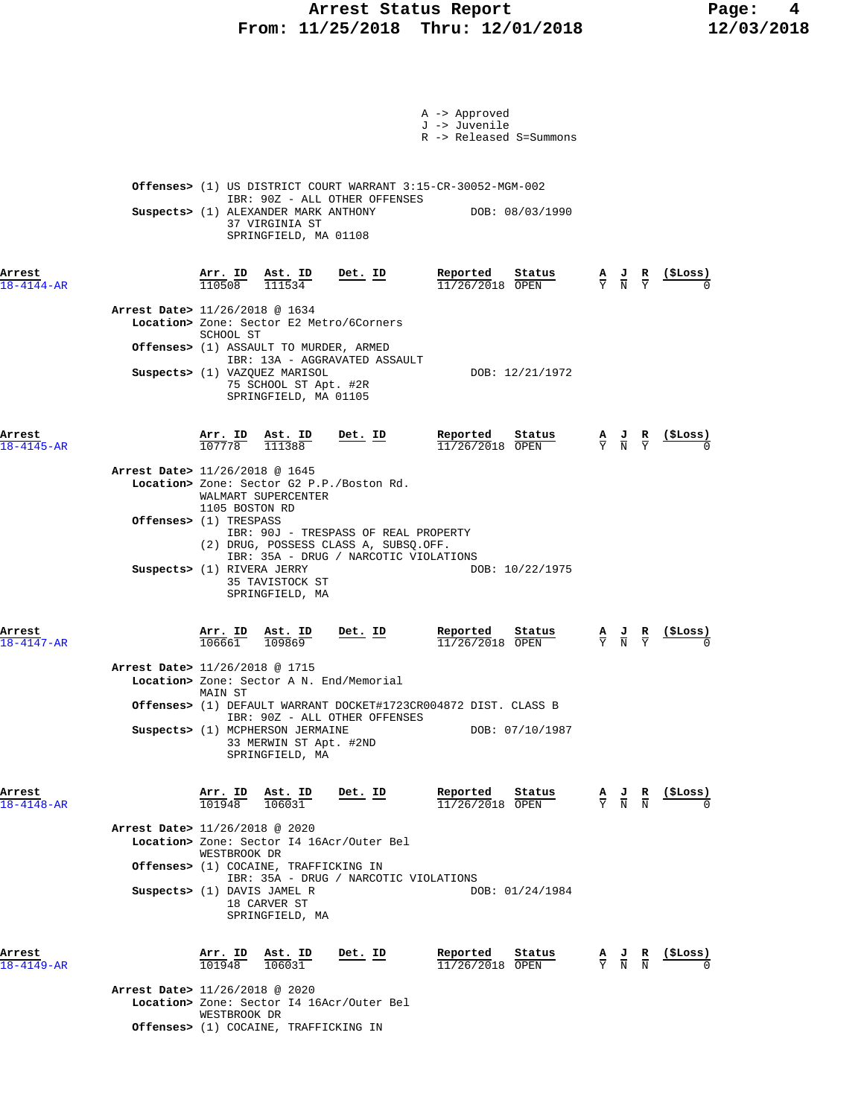### Arrest Status Report **Page:** 4  **From: 11/25/2018 Thru: 12/01/2018 12/03/2018**

|                            |                                                                                                                   |                                                                                    | A -> Approved<br>J -> Juvenile<br>R -> Released S=Summons                        |                                                                                                 |                                   |
|----------------------------|-------------------------------------------------------------------------------------------------------------------|------------------------------------------------------------------------------------|----------------------------------------------------------------------------------|-------------------------------------------------------------------------------------------------|-----------------------------------|
|                            | Suspects> (1) ALEXANDER MARK ANTHONY<br>37 VIRGINIA ST                                                            | IBR: 90Z - ALL OTHER OFFENSES<br>SPRINGFIELD, MA 01108                             | Offenses> (1) US DISTRICT COURT WARRANT 3:15-CR-30052-MGM-002<br>DOB: 08/03/1990 |                                                                                                 |                                   |
| Arrest<br>$18 - 4144 - AR$ | $\frac{\texttt{Arr.}}{110508}$<br>$\frac{\texttt{Ast.}}{111534}$                                                  | <u>Det.</u> ID                                                                     | Reported<br>Status<br>$11/26/2018$ OPEN                                          | $\frac{\mathbf{A}}{\mathbf{Y}}$ $\frac{\mathbf{J}}{\mathbf{N}}$ $\frac{\mathbf{R}}{\mathbf{Y}}$ | $\frac{\text{($Loss)}}{0}$        |
|                            | Arrest Date> 11/26/2018 @ 1634<br>SCHOOL ST                                                                       | Location> Zone: Sector E2 Metro/6Corners<br>Offenses> (1) ASSAULT TO MURDER, ARMED |                                                                                  |                                                                                                 |                                   |
|                            | Suspects> (1) VAZQUEZ MARISOL                                                                                     | IBR: 13A - AGGRAVATED ASSAULT<br>75 SCHOOL ST Apt. #2R<br>SPRINGFIELD, MA 01105    | DOB: 12/21/1972                                                                  |                                                                                                 |                                   |
| Arrest<br>$18 - 4145 - AR$ | $\frac{\texttt{Arr.}}{107778}$<br>$\frac{\texttt{Ast.}}{111388}$                                                  | <u>Det. ID</u>                                                                     | Reported<br>Status<br>$11/26/2018$ OPEN                                          | $\frac{\mathbf{A}}{\mathbf{Y}}$ $\frac{\mathbf{J}}{\mathbf{N}}$ $\frac{\mathbf{R}}{\mathbf{Y}}$ | ( \$Loss)                         |
|                            | Arrest Date> 11/26/2018 @ 1645<br>WALMART SUPERCENTER<br>1105 BOSTON RD                                           | Location> Zone: Sector G2 P.P./Boston Rd.                                          |                                                                                  |                                                                                                 |                                   |
|                            | <b>Offenses&gt;</b> (1) TRESPASS                                                                                  | IBR: 90J - TRESPASS OF REAL PROPERTY<br>(2) DRUG, POSSESS CLASS A, SUBSQ.OFF.      |                                                                                  |                                                                                                 |                                   |
|                            | Suspects> (1) RIVERA JERRY<br>35 TAVISTOCK ST<br>SPRINGFIELD, MA                                                  | IBR: 35A - DRUG / NARCOTIC VIOLATIONS                                              | DOB: 10/22/1975                                                                  |                                                                                                 |                                   |
| Arrest<br>$18 - 4147 - AR$ | Arr. ID<br>Ast. ID<br>106661<br>109869                                                                            | Det. ID                                                                            | Reported<br>Status<br>11/26/2018 OPEN                                            | $\frac{A}{Y}$ $\frac{J}{N}$ $\frac{R}{Y}$                                                       | $\frac{(\text{SLoss})}{\sqrt{2}}$ |
|                            | Arrest Date> 11/26/2018 @ 1715<br>MAIN ST                                                                         | Location> Zone: Sector A N. End/Memorial                                           | Offenses> (1) DEFAULT WARRANT DOCKET#1723CR004872 DIST. CLASS B                  |                                                                                                 |                                   |
|                            | Suspects> (1) MCPHERSON JERMAINE<br>SPRINGFIELD, MA                                                               | IBR: 90Z - ALL OTHER OFFENSES<br>33 MERWIN ST Apt. #2ND                            | DOB: 07/10/1987                                                                  |                                                                                                 |                                   |
| Arrest<br>$18 - 4148 - AR$ | Arr. ID<br>Ast. ID<br>101948<br>106031                                                                            | Det. ID                                                                            | Reported<br>Status<br>11/26/2018 OPEN                                            | $\frac{A}{Y}$ $\frac{J}{N}$ $\frac{R}{N}$                                                       | (ŞLoss)                           |
|                            | Arrest Date> 11/26/2018 @ 2020<br>WESTBROOK DR                                                                    | Location> Zone: Sector I4 16Acr/Outer Bel                                          |                                                                                  |                                                                                                 |                                   |
|                            | <b>Offenses&gt;</b> (1) COCAINE, TRAFFICKING IN<br>Suspects> (1) DAVIS JAMEL R<br>18 CARVER ST<br>SPRINGFIELD, MA | IBR: 35A - DRUG / NARCOTIC VIOLATIONS                                              | DOB: 01/24/1984                                                                  |                                                                                                 |                                   |
| Arrest<br>$18 - 4149 - AR$ | Arr. ID<br>Ast. ID<br>101948<br>106031                                                                            | Det. ID                                                                            | Reported<br>Status<br>11/26/2018 OPEN                                            | $\frac{\mathbf{A}}{\mathbf{Y}}$ $\frac{\mathbf{J}}{\mathbf{N}}$ $\frac{\mathbf{R}}{\mathbf{N}}$ | (ŞLoss)                           |
|                            | Arrest Date> 11/26/2018 @ 2020<br>WESTBROOK DR<br><b>Offenses&gt;</b> (1) COCAINE, TRAFFICKING IN                 | Location> Zone: Sector I4 16Acr/Outer Bel                                          |                                                                                  |                                                                                                 |                                   |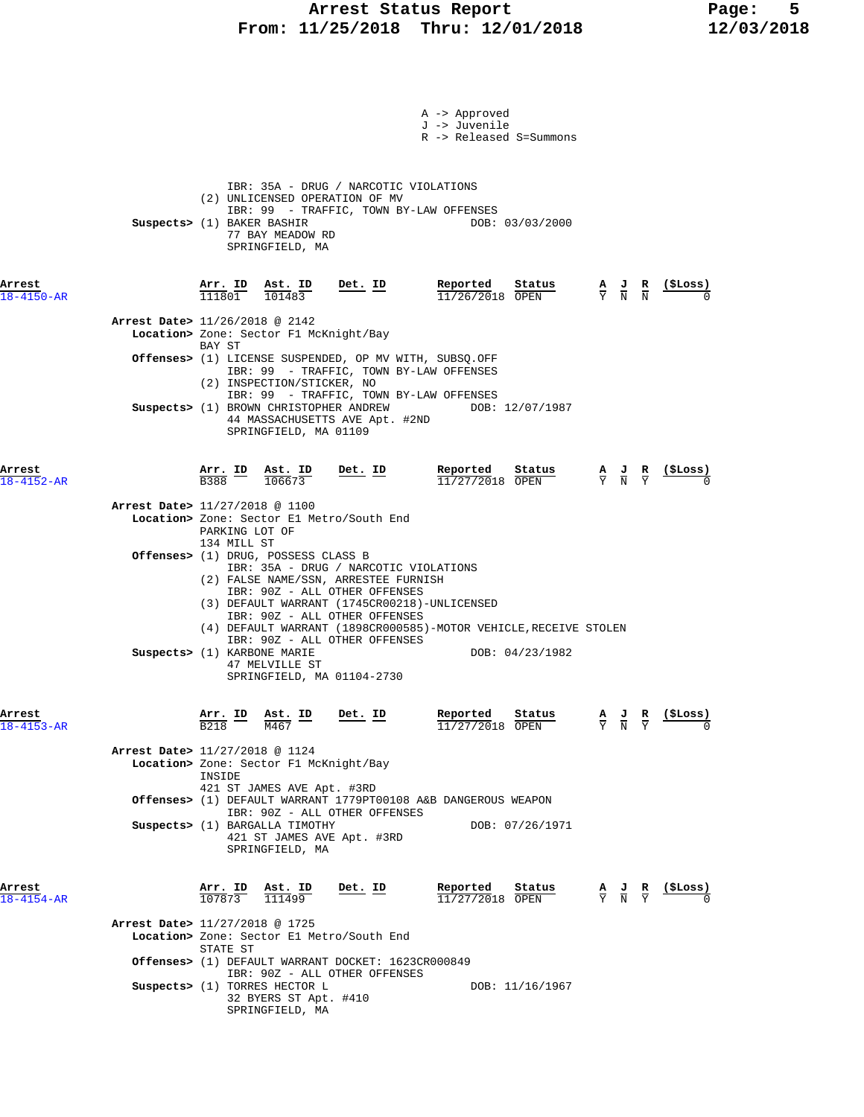### **Arrest Status Report Page: 5 From: 11/25/2018 Thru: 12/01/2018 12/03/2018**

|                                |                |                                                                               |                | A -> Approved                                                    |                                                                                                               |                                                                                                 |                                                    |
|--------------------------------|----------------|-------------------------------------------------------------------------------|----------------|------------------------------------------------------------------|---------------------------------------------------------------------------------------------------------------|-------------------------------------------------------------------------------------------------|----------------------------------------------------|
|                                |                |                                                                               |                | J -> Juvenile                                                    |                                                                                                               |                                                                                                 |                                                    |
|                                |                |                                                                               |                | R -> Released S=Summons                                          |                                                                                                               |                                                                                                 |                                                    |
|                                |                |                                                                               |                |                                                                  |                                                                                                               |                                                                                                 |                                                    |
|                                |                | IBR: 35A - DRUG / NARCOTIC VIOLATIONS                                         |                |                                                                  |                                                                                                               |                                                                                                 |                                                    |
|                                |                | (2) UNLICENSED OPERATION OF MV<br>IBR: 99 - TRAFFIC, TOWN BY-LAW OFFENSES     |                |                                                                  |                                                                                                               |                                                                                                 |                                                    |
|                                |                | Suspects> (1) BAKER BASHIR                                                    |                |                                                                  | DOB: 03/03/2000                                                                                               |                                                                                                 |                                                    |
|                                |                | 77 BAY MEADOW RD<br>SPRINGFIELD, MA                                           |                |                                                                  |                                                                                                               |                                                                                                 |                                                    |
|                                |                |                                                                               |                |                                                                  |                                                                                                               |                                                                                                 |                                                    |
| Arrest                         |                |                                                                               | $Det$ . ID     | Reported                                                         | Status                                                                                                        |                                                                                                 | <u>(SLoss)</u>                                     |
| $18 - 4150 - AR$               |                | $\frac{\text{Arr.}}{111801}$ $\frac{\text{Ast.}}{101483}$                     |                | $11/26/2018$ OPEN                                                |                                                                                                               | $\frac{\mathbf{A}}{\mathbf{Y}}$ $\frac{\mathbf{J}}{\mathbf{N}}$ $\frac{\mathbf{R}}{\mathbf{N}}$ |                                                    |
| Arrest Date> 11/26/2018 @ 2142 |                |                                                                               |                |                                                                  |                                                                                                               |                                                                                                 |                                                    |
|                                |                | Location> Zone: Sector F1 McKnight/Bay                                        |                |                                                                  |                                                                                                               |                                                                                                 |                                                    |
|                                | BAY ST         | <b>Offenses&gt;</b> (1) LICENSE SUSPENDED, OP MV WITH, SUBSQ.OFF              |                |                                                                  |                                                                                                               |                                                                                                 |                                                    |
|                                |                | IBR: 99 - TRAFFIC, TOWN BY-LAW OFFENSES                                       |                |                                                                  |                                                                                                               |                                                                                                 |                                                    |
|                                |                | (2) INSPECTION/STICKER, NO<br>IBR: 99 - TRAFFIC, TOWN BY-LAW OFFENSES         |                |                                                                  |                                                                                                               |                                                                                                 |                                                    |
|                                |                |                                                                               |                | Suspects> (1) BROWN CHRISTOPHER ANDREW DOB: 12/07/1987           |                                                                                                               |                                                                                                 |                                                    |
|                                |                | 44 MASSACHUSETTS AVE Apt. #2ND<br>SPRINGFIELD, MA 01109                       |                |                                                                  |                                                                                                               |                                                                                                 |                                                    |
|                                |                |                                                                               |                |                                                                  |                                                                                                               |                                                                                                 |                                                    |
| Arrest                         |                | Arr. ID Ast. ID                                                               | Det. ID        | Reported                                                         | Status                                                                                                        | $\frac{A}{Y}$ $\frac{J}{N}$ $\frac{R}{Y}$                                                       | (ŞLoss)                                            |
| $18 - 4152 - AR$               | B388 –         | 106673                                                                        |                | $11/27/2018$ OPEN                                                |                                                                                                               |                                                                                                 |                                                    |
| Arrest Date> 11/27/2018 @ 1100 |                |                                                                               |                |                                                                  |                                                                                                               |                                                                                                 |                                                    |
|                                | PARKING LOT OF | Location> Zone: Sector El Metro/South End                                     |                |                                                                  |                                                                                                               |                                                                                                 |                                                    |
|                                | 134 MILL ST    |                                                                               |                |                                                                  |                                                                                                               |                                                                                                 |                                                    |
|                                |                | Offenses> (1) DRUG, POSSESS CLASS B<br>IBR: 35A - DRUG / NARCOTIC VIOLATIONS  |                |                                                                  |                                                                                                               |                                                                                                 |                                                    |
|                                |                | (2) FALSE NAME/SSN, ARRESTEE FURNISH                                          |                |                                                                  |                                                                                                               |                                                                                                 |                                                    |
|                                |                | IBR: 90Z - ALL OTHER OFFENSES<br>(3) DEFAULT WARRANT (1745CR00218)-UNLICENSED |                |                                                                  |                                                                                                               |                                                                                                 |                                                    |
|                                |                | IBR: 90Z - ALL OTHER OFFENSES                                                 |                | (4) DEFAULT WARRANT (1898CR000585)-MOTOR VEHICLE, RECEIVE STOLEN |                                                                                                               |                                                                                                 |                                                    |
|                                |                | IBR: 90Z - ALL OTHER OFFENSES                                                 |                |                                                                  |                                                                                                               |                                                                                                 |                                                    |
|                                |                | Suspects> (1) KARBONE MARIE<br>47 MELVILLE ST                                 |                |                                                                  | DOB: 04/23/1982                                                                                               |                                                                                                 |                                                    |
|                                |                | SPRINGFIELD, MA 01104-2730                                                    |                |                                                                  |                                                                                                               |                                                                                                 |                                                    |
|                                |                |                                                                               |                |                                                                  |                                                                                                               |                                                                                                 |                                                    |
| Arrest                         | Arr. ID        | Ast. ID                                                                       | Det. ID        | Reported Status                                                  |                                                                                                               |                                                                                                 | $\frac{A}{Y}$ $\frac{J}{N}$ $\frac{R}{Y}$ (\$Loss) |
| $18 - 4153 - AR$               | <b>B218</b>    | M467                                                                          |                | 11/27/2018 OPEN                                                  |                                                                                                               |                                                                                                 |                                                    |
| Arrest Date> 11/27/2018 @ 1124 |                |                                                                               |                |                                                                  |                                                                                                               |                                                                                                 |                                                    |
|                                | INSIDE         | Location> Zone: Sector F1 McKnight/Bay                                        |                |                                                                  |                                                                                                               |                                                                                                 |                                                    |
|                                |                | 421 ST JAMES AVE Apt. #3RD                                                    |                |                                                                  |                                                                                                               |                                                                                                 |                                                    |
|                                |                | IBR: 90Z - ALL OTHER OFFENSES                                                 |                | Offenses> (1) DEFAULT WARRANT 1779PT00108 A&B DANGEROUS WEAPON   |                                                                                                               |                                                                                                 |                                                    |
|                                |                | Suspects> (1) BARGALLA TIMOTHY                                                |                |                                                                  | DOB: 07/26/1971                                                                                               |                                                                                                 |                                                    |
|                                |                | 421 ST JAMES AVE Apt. #3RD<br>SPRINGFIELD, MA                                 |                |                                                                  |                                                                                                               |                                                                                                 |                                                    |
|                                |                |                                                                               |                |                                                                  |                                                                                                               |                                                                                                 |                                                    |
| Arrest                         |                |                                                                               | <u>Det. ID</u> |                                                                  |                                                                                                               |                                                                                                 |                                                    |
| $18 - 4154 - AR$               |                | $\frac{\texttt{Arr. ID}}{107873}$ $\frac{\texttt{Ast. ID}}{111499}$           |                |                                                                  | <b>Reported</b> Status <b>A</b> J <b>R</b> (\$Loss) $\frac{11}{27/2018}$ OPEN $\overline{Y}$ N $\overline{Y}$ |                                                                                                 |                                                    |
| Arrest Date> 11/27/2018 @ 1725 |                |                                                                               |                |                                                                  |                                                                                                               |                                                                                                 |                                                    |
|                                |                | Location> Zone: Sector El Metro/South End                                     |                |                                                                  |                                                                                                               |                                                                                                 |                                                    |
|                                | STATE ST       | Offenses> (1) DEFAULT WARRANT DOCKET: 1623CR000849                            |                |                                                                  |                                                                                                               |                                                                                                 |                                                    |
|                                |                | IBR: 90Z - ALL OTHER OFFENSES                                                 |                |                                                                  |                                                                                                               |                                                                                                 |                                                    |
|                                |                | Suspects> (1) TORRES HECTOR L<br>32 BYERS ST Apt. #410                        |                |                                                                  | DOB: 11/16/1967                                                                                               |                                                                                                 |                                                    |
|                                |                | SPRINGFIELD, MA                                                               |                |                                                                  |                                                                                                               |                                                                                                 |                                                    |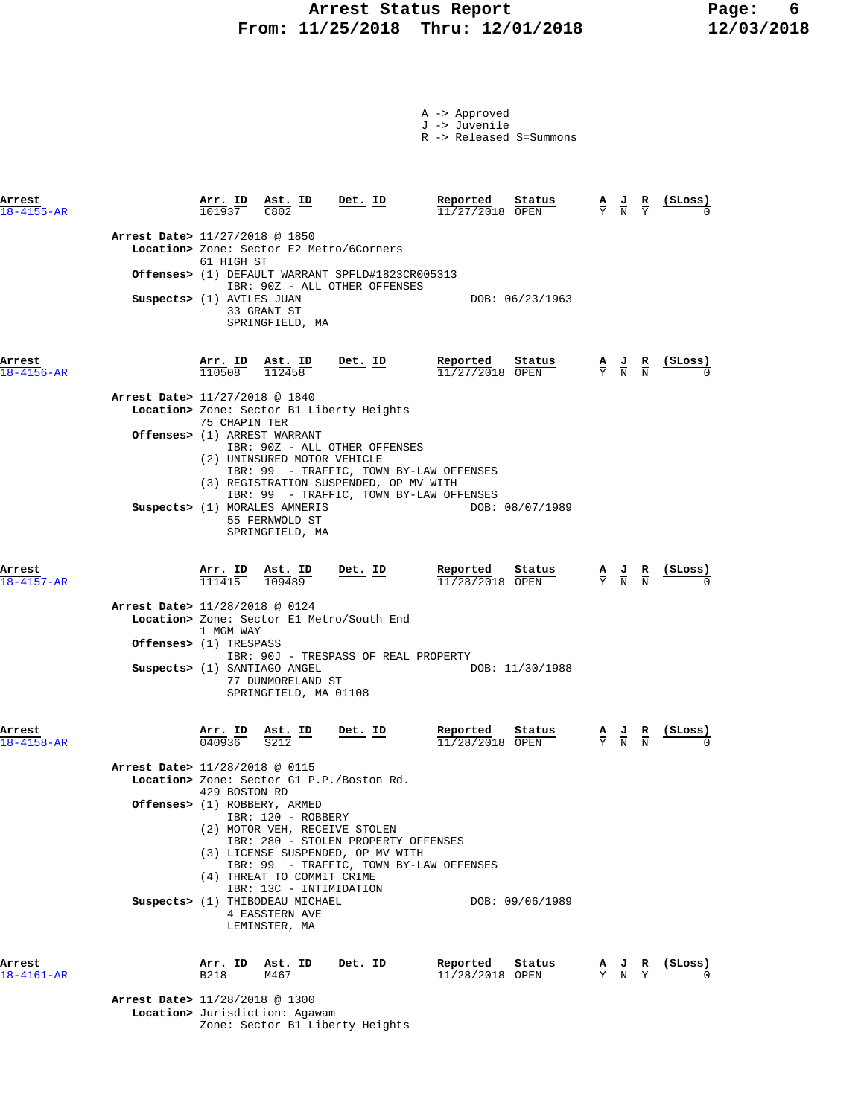## Arrest Status Report **Page:** 6  **From: 11/25/2018 Thru: 12/01/2018 12/03/2018**

| A -> Approved |  |  |
|---------------|--|--|
| J -> Juvenile |  |  |

R -> Released S=Summons

| Arrest<br>$18 - 4155 - AR$ |                                  |                                                          | $\frac{\text{Arr. ID}}{101937}$ $\frac{\text{Ast. ID}}{C802}$<br>C802      | $Det$ . ID                                                                                                          | Reported<br>11/27/2018 OPEN   | Status          | $\frac{\mathbf{A}}{\mathbf{Y}}$ $\frac{\mathbf{J}}{\mathbf{N}}$ $\frac{\mathbf{R}}{\mathbf{Y}}$ |                                                                                                 | $(\xiLoss)$                                                                                                                    |
|----------------------------|----------------------------------|----------------------------------------------------------|----------------------------------------------------------------------------|---------------------------------------------------------------------------------------------------------------------|-------------------------------|-----------------|-------------------------------------------------------------------------------------------------|-------------------------------------------------------------------------------------------------|--------------------------------------------------------------------------------------------------------------------------------|
|                            | Arrest Date> 11/27/2018 @ 1850   | 61 HIGH ST                                               |                                                                            | Location> Zone: Sector E2 Metro/6Corners                                                                            |                               |                 |                                                                                                 |                                                                                                 |                                                                                                                                |
|                            |                                  |                                                          |                                                                            | <b>Offenses&gt;</b> (1) DEFAULT WARRANT SPFLD#1823CR005313<br>IBR: 90Z - ALL OTHER OFFENSES                         |                               |                 |                                                                                                 |                                                                                                 |                                                                                                                                |
|                            | Suspects> (1) AVILES JUAN        |                                                          | 33 GRANT ST<br>SPRINGFIELD, MA                                             |                                                                                                                     |                               | DOB: 06/23/1963 |                                                                                                 |                                                                                                 |                                                                                                                                |
| Arrest<br>$18 - 4156 - AR$ |                                  |                                                          | $\frac{\texttt{Arr.}}{110508}$ $\frac{\texttt{ Ast.}}{112458}$             | <u>Det. ID</u>                                                                                                      | Reported<br>11/27/2018 OPEN   | <u>Status</u>   |                                                                                                 |                                                                                                 | $\frac{\mathbf{A}}{\text{Y}}$ $\frac{\mathbf{J}}{\text{N}}$ $\frac{\mathbf{R}}{\text{N}}$ $\frac{(\texttt{\$Loss})}{\text{N}}$ |
|                            | Arrest Date> 11/27/2018 @ 1840   |                                                          |                                                                            |                                                                                                                     |                               |                 |                                                                                                 |                                                                                                 |                                                                                                                                |
|                            |                                  | 75 CHAPIN TER                                            |                                                                            | Location> Zone: Sector B1 Liberty Heights                                                                           |                               |                 |                                                                                                 |                                                                                                 |                                                                                                                                |
|                            |                                  |                                                          | Offenses> (1) ARREST WARRANT<br>(2) UNINSURED MOTOR VEHICLE                | IBR: 90Z - ALL OTHER OFFENSES<br>IBR: 99 - TRAFFIC, TOWN BY-LAW OFFENSES<br>(3) REGISTRATION SUSPENDED, OP MV WITH  |                               |                 |                                                                                                 |                                                                                                 |                                                                                                                                |
|                            |                                  |                                                          | Suspects> (1) MORALES AMNERIS<br>55 FERNWOLD ST<br>SPRINGFIELD, MA         | IBR: 99 - TRAFFIC, TOWN BY-LAW OFFENSES                                                                             |                               | DOB: 08/07/1989 |                                                                                                 |                                                                                                 |                                                                                                                                |
| Arrest<br>$18 - 4157 - AR$ |                                  |                                                          | $\frac{\texttt{Arr.}}{111415}$ $\frac{\texttt{Ab.}}{109489}$ Det. ID       |                                                                                                                     | Reported<br>$11/28/2018$ OPEN | Status          |                                                                                                 |                                                                                                 | $\frac{A}{Y}$ $\frac{J}{N}$ $\frac{R}{N}$ (\$Loss)                                                                             |
|                            | Arrest Date> 11/28/2018 @ 0124   | 1 MGM WAY                                                |                                                                            | Location> Zone: Sector El Metro/South End                                                                           |                               |                 |                                                                                                 |                                                                                                 |                                                                                                                                |
|                            | <b>Offenses&gt;</b> (1) TRESPASS |                                                          |                                                                            | IBR: 90J - TRESPASS OF REAL PROPERTY                                                                                |                               |                 |                                                                                                 |                                                                                                 |                                                                                                                                |
|                            |                                  |                                                          | Suspects> (1) SANTIAGO ANGEL<br>77 DUNMORELAND ST<br>SPRINGFIELD, MA 01108 |                                                                                                                     |                               | DOB: 11/30/1988 |                                                                                                 |                                                                                                 |                                                                                                                                |
| Arrest<br>$18 - 4158 - AR$ |                                  |                                                          | $\frac{\texttt{Arr. ID}}{040936}$ $\frac{\texttt{Ast. ID}}{S212}$ Det. ID  |                                                                                                                     | Reported<br>$11/28/2018$ OPEN | Status          |                                                                                                 | $\frac{\mathbf{A}}{\mathbf{Y}}$ $\frac{\mathbf{J}}{\mathbf{N}}$ $\frac{\mathbf{R}}{\mathbf{N}}$ |                                                                                                                                |
|                            | Arrest Date> 11/28/2018 @ 0115   |                                                          |                                                                            |                                                                                                                     |                               |                 |                                                                                                 |                                                                                                 |                                                                                                                                |
|                            |                                  | 429 BOSTON RD                                            |                                                                            | Location> Zone: Sector G1 P.P./Boston Rd.                                                                           |                               |                 |                                                                                                 |                                                                                                 |                                                                                                                                |
|                            |                                  |                                                          | Offenses> (1) ROBBERY, ARMED<br>IBR: 120 - ROBBERY                         | (2) MOTOR VEH, RECEIVE STOLEN                                                                                       |                               |                 |                                                                                                 |                                                                                                 |                                                                                                                                |
|                            |                                  |                                                          | (4) THREAT TO COMMIT CRIME<br>IBR: 13C - INTIMIDATION                      | IBR: 280 - STOLEN PROPERTY OFFENSES<br>(3) LICENSE SUSPENDED, OP MV WITH<br>IBR: 99 - TRAFFIC, TOWN BY-LAW OFFENSES |                               |                 |                                                                                                 |                                                                                                 |                                                                                                                                |
|                            |                                  |                                                          | Suspects> (1) THIBODEAU MICHAEL<br>4 EASSTERN AVE<br>LEMINSTER, MA         |                                                                                                                     |                               | DOB: 09/06/1989 |                                                                                                 |                                                                                                 |                                                                                                                                |
| Arrest<br>$18 - 4161 - AR$ |                                  | $\frac{\text{Arr. ID}}{\text{B218}}$<br>B <sub>218</sub> | Ast. ID<br>M467                                                            | Det. ID                                                                                                             | Reported<br>$11/28/2018$ OPEN | Status          |                                                                                                 | $\frac{A}{Y}$ $\frac{J}{N}$ $\frac{R}{Y}$                                                       | $\frac{\text{(}$ SLoss)                                                                                                        |
|                            | Arrest Date> 11/28/2018 @ 1300   |                                                          |                                                                            |                                                                                                                     |                               |                 |                                                                                                 |                                                                                                 |                                                                                                                                |

 **Location>** Jurisdiction: Agawam Zone: Sector B1 Liberty Heights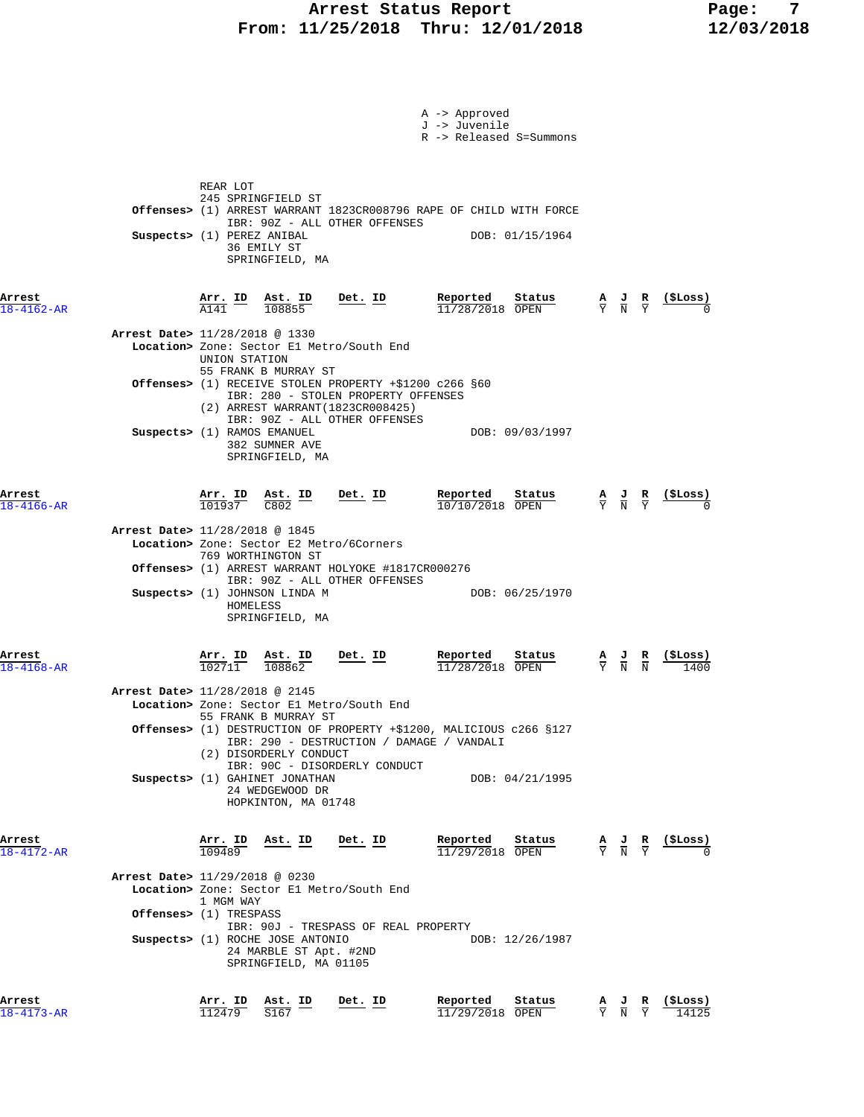### **Arrest Status Report Report Report Report Report Report Report Report Report Report Report Report Report Report Report Report Report Report Report Report Report Report Report Report Report Report Report Report Report Repo From: 11/25/2018 Thru: 12/01/2018 12/03/2018**

|                            |                                                                                                                                                                                                                                                                                                                                                               | A -> Approved<br>J -> Juvenile<br>R -> Released S=Summons |                                                                                                              |
|----------------------------|---------------------------------------------------------------------------------------------------------------------------------------------------------------------------------------------------------------------------------------------------------------------------------------------------------------------------------------------------------------|-----------------------------------------------------------|--------------------------------------------------------------------------------------------------------------|
|                            | REAR LOT<br>245 SPRINGFIELD ST<br>Offenses> (1) ARREST WARRANT 1823CR008796 RAPE OF CHILD WITH FORCE<br>IBR: 90Z - ALL OTHER OFFENSES<br>Suspects> (1) PEREZ ANIBAL<br>36 EMILY ST<br>SPRINGFIELD, MA                                                                                                                                                         | DOB: 01/15/1964                                           |                                                                                                              |
| Arrest<br>$18 - 4162 - AR$ | $Det$ . ID<br>$\frac{\texttt{Arr.}}{\texttt{A141}}$ ID<br>$\frac{\texttt{Ast.}}{108855}$                                                                                                                                                                                                                                                                      | $\frac{\text{Reported}}{11/28/2018}$ Status<br>Status     | $\frac{A}{Y}$ $\frac{J}{N}$ $\frac{R}{Y}$                                                                    |
|                            | Arrest Date> 11/28/2018 @ 1330<br>Location> Zone: Sector El Metro/South End<br>UNION STATION                                                                                                                                                                                                                                                                  |                                                           |                                                                                                              |
|                            | 55 FRANK B MURRAY ST<br>Offenses> (1) RECEIVE STOLEN PROPERTY +\$1200 c266 §60<br>IBR: 280 - STOLEN PROPERTY OFFENSES<br>(2) ARREST WARRANT (1823CR008425)                                                                                                                                                                                                    |                                                           |                                                                                                              |
|                            | IBR: 90Z - ALL OTHER OFFENSES<br>Suspects> (1) RAMOS EMANUEL<br>382 SUMNER AVE<br>SPRINGFIELD, MA                                                                                                                                                                                                                                                             | DOB: 09/03/1997                                           |                                                                                                              |
| Arrest<br>$18 - 4166 - AR$ | $\frac{\text{Arr. ID}}{101937}$ $\frac{\text{Ast. ID}}{\text{C802}}$ Det. ID                                                                                                                                                                                                                                                                                  | Reported<br>Status<br>10/10/2018 OPEN                     | $\frac{A}{Y}$ $\frac{J}{N}$ $\frac{R}{Y}$ (\$Loss)                                                           |
|                            | Arrest Date> 11/28/2018 @ 1845<br>Location> Zone: Sector E2 Metro/6Corners<br>769 WORTHINGTON ST<br>Offenses> (1) ARREST WARRANT HOLYOKE #1817CR000276<br>IBR: 90Z - ALL OTHER OFFENSES<br>Suspects> (1) JOHNSON LINDA M<br>HOMELESS<br>SPRINGFIELD, MA                                                                                                       | DOB: 06/25/1970                                           |                                                                                                              |
| Arrest<br>$18 - 4168 - AR$ | $Det. ID$<br><u>Arr. ID</u><br>$\frac{\texttt{Ast. ID}}{108862}$<br>102711                                                                                                                                                                                                                                                                                    | Reported<br>Status<br>11/28/2018 OPEN                     | $\frac{\mathbf{A}}{\mathbf{Y}}$ $\frac{\mathbf{J}}{\mathbf{N}}$ $\frac{\mathbf{R}}{\mathbf{N}}$<br>( STORS ) |
|                            | Arrest Date> 11/28/2018 @ 2145<br>Location> Zone: Sector El Metro/South End<br>55 FRANK B MURRAY ST<br>Offenses> (1) DESTRUCTION OF PROPERTY +\$1200, MALICIOUS c266 §127<br>IBR: 290 - DESTRUCTION / DAMAGE / VANDALI<br>(2) DISORDERLY CONDUCT<br>IBR: 90C - DISORDERLY CONDUCT<br>Suspects> (1) GAHINET JONATHAN<br>24 WEDGEWOOD DR<br>HOPKINTON, MA 01748 | DOB: 04/21/1995                                           |                                                                                                              |
| Arrest<br>$18 - 4172 - AR$ | Arr. ID Ast. ID<br>Det. ID<br>109489<br>Arrest Date> 11/29/2018 @ 0230                                                                                                                                                                                                                                                                                        | Reported<br>Status<br>$11/29/2018$ OPEN                   | $\frac{A}{Y}$ $\frac{J}{N}$ $\frac{R}{Y}$ $\frac{($Loss)}{N}$                                                |
|                            | Location> Zone: Sector El Metro/South End<br>1 MGM WAY<br><b>Offenses&gt;</b> (1) TRESPASS<br>IBR: 90J - TRESPASS OF REAL PROPERTY<br>Suspects> (1) ROCHE JOSE ANTONIO<br>24 MARBLE ST Apt. #2ND<br>SPRINGFIELD, MA 01105                                                                                                                                     | DOB: 12/26/1987                                           |                                                                                                              |
| Arrest<br>18-4173-AR       | Arr. ID Ast. ID<br>Det. ID<br>112479<br>S167                                                                                                                                                                                                                                                                                                                  | Reported<br>Status<br>$11/29/2018$ OPEN                   | (\$Loss)<br>R<br>$\frac{A}{Y}$ $\frac{J}{N}$<br>$\overline{\mathsf{Y}}$<br>14125                             |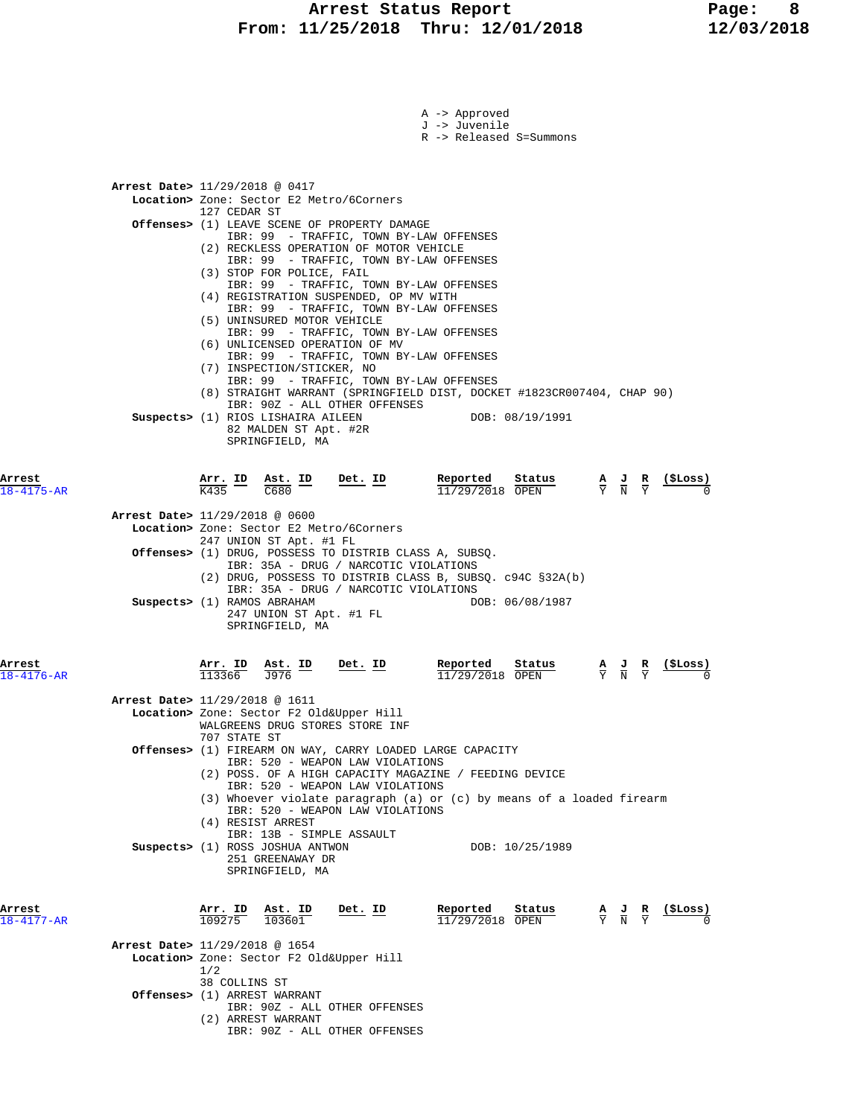### **Arrest Status Report Page: 8 From: 11/25/2018 Thru: 12/01/2018 12/03/2018**

|                      |                                                                                      |                                         | A -> Approved                                                          |                                                                                                                                                                                                                                                                                     |
|----------------------|--------------------------------------------------------------------------------------|-----------------------------------------|------------------------------------------------------------------------|-------------------------------------------------------------------------------------------------------------------------------------------------------------------------------------------------------------------------------------------------------------------------------------|
|                      |                                                                                      |                                         | J -> Juvenile<br>R -> Released S=Summons                               |                                                                                                                                                                                                                                                                                     |
|                      |                                                                                      |                                         |                                                                        |                                                                                                                                                                                                                                                                                     |
|                      |                                                                                      |                                         |                                                                        |                                                                                                                                                                                                                                                                                     |
|                      | Arrest Date> 11/29/2018 @ 0417<br>Location> Zone: Sector E2 Metro/6Corners           |                                         |                                                                        |                                                                                                                                                                                                                                                                                     |
|                      | 127 CEDAR ST                                                                         |                                         |                                                                        |                                                                                                                                                                                                                                                                                     |
|                      | <b>Offenses&gt;</b> (1) LEAVE SCENE OF PROPERTY DAMAGE                               | IBR: 99 - TRAFFIC, TOWN BY-LAW OFFENSES |                                                                        |                                                                                                                                                                                                                                                                                     |
|                      | (2) RECKLESS OPERATION OF MOTOR VEHICLE                                              |                                         |                                                                        |                                                                                                                                                                                                                                                                                     |
|                      | (3) STOP FOR POLICE, FAIL                                                            | IBR: 99 - TRAFFIC, TOWN BY-LAW OFFENSES |                                                                        |                                                                                                                                                                                                                                                                                     |
|                      | (4) REGISTRATION SUSPENDED, OP MV WITH                                               | IBR: 99 - TRAFFIC, TOWN BY-LAW OFFENSES |                                                                        |                                                                                                                                                                                                                                                                                     |
|                      |                                                                                      | IBR: 99 - TRAFFIC, TOWN BY-LAW OFFENSES |                                                                        |                                                                                                                                                                                                                                                                                     |
|                      | (5) UNINSURED MOTOR VEHICLE                                                          | IBR: 99 - TRAFFIC, TOWN BY-LAW OFFENSES |                                                                        |                                                                                                                                                                                                                                                                                     |
|                      | (6) UNLICENSED OPERATION OF MV                                                       |                                         |                                                                        |                                                                                                                                                                                                                                                                                     |
|                      | (7) INSPECTION/STICKER, NO                                                           | IBR: 99 - TRAFFIC, TOWN BY-LAW OFFENSES |                                                                        |                                                                                                                                                                                                                                                                                     |
|                      |                                                                                      | IBR: 99 - TRAFFIC, TOWN BY-LAW OFFENSES |                                                                        |                                                                                                                                                                                                                                                                                     |
|                      |                                                                                      | IBR: 90Z - ALL OTHER OFFENSES           | (8) STRAIGHT WARRANT (SPRINGFIELD DIST, DOCKET #1823CR007404, CHAP 90) |                                                                                                                                                                                                                                                                                     |
|                      | Suspects> (1) RIOS LISHAIRA AILEEN                                                   |                                         | DOB: 08/19/1991                                                        |                                                                                                                                                                                                                                                                                     |
|                      | 82 MALDEN ST Apt. #2R<br>SPRINGFIELD, MA                                             |                                         |                                                                        |                                                                                                                                                                                                                                                                                     |
|                      |                                                                                      |                                         |                                                                        |                                                                                                                                                                                                                                                                                     |
| Arrest               | $\frac{\text{Arr.}}{\text{K435}}$ ID $\frac{\text{Ast.}}{\text{C680}}$ ID            | Det. ID                                 | Reported Status                                                        | $\begin{array}{cccccc} \textbf{\texttt{keported}} & \textbf{\texttt{status}} & \textbf{A} & \textbf{J} & \textbf{R} & \textbf{(\$Loss)}\\ \hline 11/29/2018 & \overline{\text{OPEN}} & & & \overline{\textbf{Y}} & \overline{\textbf{N}} & \overline{\textbf{Y}} & & 0 \end{array}$ |
| $18 - 4175 - AR$     |                                                                                      |                                         |                                                                        |                                                                                                                                                                                                                                                                                     |
|                      | Arrest Date> 11/29/2018 @ 0600                                                       |                                         |                                                                        |                                                                                                                                                                                                                                                                                     |
|                      | Location> Zone: Sector E2 Metro/6Corners<br>247 UNION ST Apt. #1 FL                  |                                         |                                                                        |                                                                                                                                                                                                                                                                                     |
|                      | <b>Offenses&gt;</b> (1) DRUG, POSSESS TO DISTRIB CLASS A, SUBSQ.                     |                                         |                                                                        |                                                                                                                                                                                                                                                                                     |
|                      |                                                                                      | IBR: 35A - DRUG / NARCOTIC VIOLATIONS   | $(2)$ DRUG, POSSESS TO DISTRIB CLASS B, SUBSQ. c94C §32A(b)            |                                                                                                                                                                                                                                                                                     |
|                      | Suspects> (1) RAMOS ABRAHAM                                                          | IBR: 35A - DRUG / NARCOTIC VIOLATIONS   | DOB: 06/08/1987                                                        |                                                                                                                                                                                                                                                                                     |
|                      | 247 UNION ST Apt. #1 FL                                                              |                                         |                                                                        |                                                                                                                                                                                                                                                                                     |
|                      | SPRINGFIELD, MA                                                                      |                                         |                                                                        |                                                                                                                                                                                                                                                                                     |
|                      |                                                                                      |                                         |                                                                        |                                                                                                                                                                                                                                                                                     |
| Arrest<br>18-4176-AR | $\frac{\text{Arr.}}{113366}$ $\frac{\text{Ast.}}{J976}$ $\frac{\text{ID}}{\text{D}}$ | <u>Det. ID</u>                          | Reported<br>Status<br>11/29/2018 OPEN                                  | <u>(SLoss)</u><br>$\frac{\mathbf{A}}{\mathbf{Y}}$ $\frac{\mathbf{J}}{\mathbf{N}}$ $\frac{\mathbf{R}}{\mathbf{Y}}$                                                                                                                                                                   |
|                      | Arrest Date> 11/29/2018 @ 1611                                                       |                                         |                                                                        |                                                                                                                                                                                                                                                                                     |
|                      | Location> Zone: Sector F2 Old&Upper Hill                                             |                                         |                                                                        |                                                                                                                                                                                                                                                                                     |
|                      | WALGREENS DRUG STORES STORE INF<br>707 STATE ST                                      |                                         |                                                                        |                                                                                                                                                                                                                                                                                     |
|                      | Offenses> (1) FIREARM ON WAY, CARRY LOADED LARGE CAPACITY                            |                                         |                                                                        |                                                                                                                                                                                                                                                                                     |
|                      |                                                                                      | IBR: 520 - WEAPON LAW VIOLATIONS        | (2) POSS. OF A HIGH CAPACITY MAGAZINE / FEEDING DEVICE                 |                                                                                                                                                                                                                                                                                     |
|                      |                                                                                      | IBR: 520 - WEAPON LAW VIOLATIONS        | (3) Whoever violate paragraph (a) or (c) by means of a loaded firearm  |                                                                                                                                                                                                                                                                                     |
|                      |                                                                                      | IBR: 520 - WEAPON LAW VIOLATIONS        |                                                                        |                                                                                                                                                                                                                                                                                     |
|                      | (4) RESIST ARREST<br>IBR: 13B - SIMPLE ASSAULT                                       |                                         |                                                                        |                                                                                                                                                                                                                                                                                     |
|                      | Suspects> (1) ROSS JOSHUA ANTWON                                                     |                                         | DOB: 10/25/1989                                                        |                                                                                                                                                                                                                                                                                     |
|                      | 251 GREENAWAY DR<br>SPRINGFIELD, MA                                                  |                                         |                                                                        |                                                                                                                                                                                                                                                                                     |
|                      |                                                                                      |                                         |                                                                        |                                                                                                                                                                                                                                                                                     |
| Arrest               | $\frac{\texttt{Arr.}}{109275}$ $\frac{\texttt{ Ast.}}{103601}$                       | Det. ID                                 | Reported<br>$\frac{\text{Status}}{\text{start}}$                       | $(_{\rm{SLOSS}})$<br>$\frac{A}{Y}$ $\frac{J}{N}$ $\frac{R}{Y}$                                                                                                                                                                                                                      |
| $18 - 4177 - AR$     |                                                                                      |                                         | $11/29/2018$ OPEN                                                      |                                                                                                                                                                                                                                                                                     |
|                      | Arrest Date> 11/29/2018 @ 1654                                                       |                                         |                                                                        |                                                                                                                                                                                                                                                                                     |
|                      | Location> Zone: Sector F2 Old&Upper Hill<br>1/2                                      |                                         |                                                                        |                                                                                                                                                                                                                                                                                     |
|                      | 38 COLLINS ST                                                                        |                                         |                                                                        |                                                                                                                                                                                                                                                                                     |
|                      | Offenses> (1) ARREST WARRANT                                                         | IBR: 90Z - ALL OTHER OFFENSES           |                                                                        |                                                                                                                                                                                                                                                                                     |
|                      | (2) ARREST WARRANT                                                                   |                                         |                                                                        |                                                                                                                                                                                                                                                                                     |
|                      |                                                                                      | IBR: 90Z - ALL OTHER OFFENSES           |                                                                        |                                                                                                                                                                                                                                                                                     |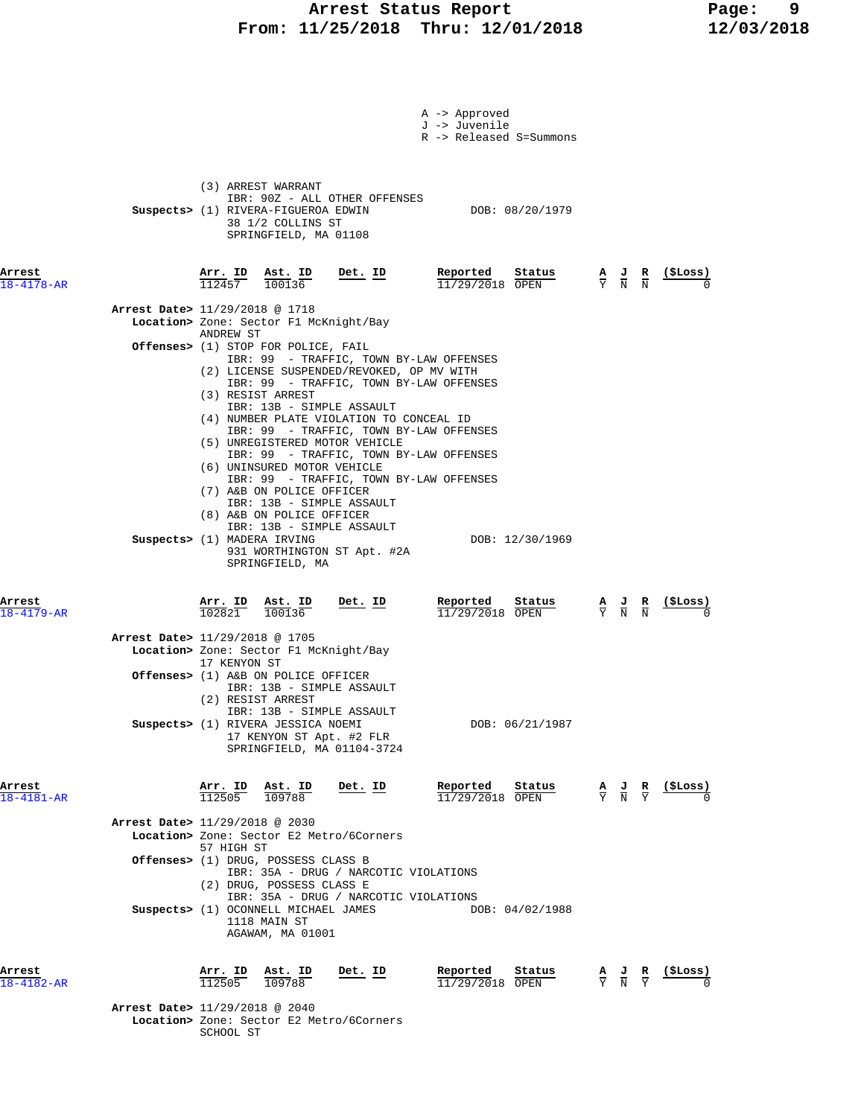### **Arrest Status Report Page: 9 From: 11/25/2018 Thru: 12/01/2018 12/03/2018**

|                            | A -> Approved<br>J -> Juvenile<br>R -> Released S=Summons                                                                                                                                                                                                                                                                                                                            |                                                                                                 |                            |
|----------------------------|--------------------------------------------------------------------------------------------------------------------------------------------------------------------------------------------------------------------------------------------------------------------------------------------------------------------------------------------------------------------------------------|-------------------------------------------------------------------------------------------------|----------------------------|
|                            | (3) ARREST WARRANT<br>IBR: 90Z - ALL OTHER OFFENSES<br>Suspects> (1) RIVERA-FIGUEROA EDWIN<br>DOB: 08/20/1979<br>38 1/2 COLLINS ST<br>SPRINGFIELD, MA 01108                                                                                                                                                                                                                          |                                                                                                 |                            |
| Arrest<br>$18 - 4178 - AR$ | <u>Arr. ID</u><br><u>Det.</u> ID<br>Reported<br>Status<br>$\frac{\text{Ast. ID}}{100136}$<br>112457<br>$11/29/2018$ OPEN                                                                                                                                                                                                                                                             | $\frac{A}{Y}$ $\frac{J}{N}$ $\frac{R}{N}$                                                       | $\frac{1}{2}$              |
|                            | Arrest Date> 11/29/2018 @ 1718<br>Location> Zone: Sector F1 McKnight/Bay                                                                                                                                                                                                                                                                                                             |                                                                                                 |                            |
|                            | ANDREW ST<br>Offenses> (1) STOP FOR POLICE, FAIL                                                                                                                                                                                                                                                                                                                                     |                                                                                                 |                            |
|                            | IBR: 99 - TRAFFIC, TOWN BY-LAW OFFENSES<br>(2) LICENSE SUSPENDED/REVOKED, OP MV WITH<br>IBR: 99 - TRAFFIC, TOWN BY-LAW OFFENSES<br>(3) RESIST ARREST<br>IBR: 13B - SIMPLE ASSAULT<br>(4) NUMBER PLATE VIOLATION TO CONCEAL ID<br>IBR: 99 - TRAFFIC, TOWN BY-LAW OFFENSES<br>(5) UNREGISTERED MOTOR VEHICLE<br>IBR: 99 - TRAFFIC, TOWN BY-LAW OFFENSES<br>(6) UNINSURED MOTOR VEHICLE |                                                                                                 |                            |
|                            | IBR: 99 - TRAFFIC, TOWN BY-LAW OFFENSES<br>(7) A&B ON POLICE OFFICER<br>IBR: 13B - SIMPLE ASSAULT<br>(8) A&B ON POLICE OFFICER<br>IBR: 13B - SIMPLE ASSAULT<br>Suspects> (1) MADERA IRVING<br>DOB: 12/30/1969<br>931 WORTHINGTON ST Apt. #2A<br>SPRINGFIELD, MA                                                                                                                      |                                                                                                 |                            |
| Arrest<br>$18 - 4179 - AR$ | Arr. ID<br>Ast. ID<br>Det. ID<br>Reported<br>Status<br>102821<br>100136<br>11/29/2018 OPEN                                                                                                                                                                                                                                                                                           | $\frac{\mathbf{A}}{\mathbf{Y}}$ $\frac{\mathbf{J}}{\mathbf{N}}$ $\frac{\mathbf{R}}{\mathbf{N}}$ | <u>(SLoss)</u>             |
|                            | Arrest Date> 11/29/2018 @ 1705                                                                                                                                                                                                                                                                                                                                                       |                                                                                                 |                            |
|                            | Location> Zone: Sector F1 McKnight/Bay<br>17 KENYON ST                                                                                                                                                                                                                                                                                                                               |                                                                                                 |                            |
|                            | Offenses> (1) A&B ON POLICE OFFICER<br>IBR: 13B - SIMPLE ASSAULT<br>(2) RESIST ARREST<br>IBR: 13B - SIMPLE ASSAULT<br>DOB: 06/21/1987<br>Suspects> (1) RIVERA JESSICA NOEMI<br>17 KENYON ST Apt. #2 FLR<br>SPRINGFIELD, MA 01104-3724                                                                                                                                                |                                                                                                 |                            |
| Arrest<br>$18 - 4181 - AR$ | Reported<br>Status<br>Arr. ID<br>Ast. ID<br>Det. ID<br>112505<br>109788<br>11/29/2018 OPEN                                                                                                                                                                                                                                                                                           | $\frac{\mathbf{A}}{\mathbf{Y}}$ $\frac{\mathbf{J}}{\mathbf{N}}$ $\frac{\mathbf{R}}{\mathbf{Y}}$ | (ŞLoss)                    |
|                            | Arrest Date> 11/29/2018 @ 2030<br>Location> Zone: Sector E2 Metro/6Corners                                                                                                                                                                                                                                                                                                           |                                                                                                 |                            |
|                            | 57 HIGH ST<br>Offenses> (1) DRUG, POSSESS CLASS B                                                                                                                                                                                                                                                                                                                                    |                                                                                                 |                            |
|                            | IBR: 35A - DRUG / NARCOTIC VIOLATIONS<br>(2) DRUG, POSSESS CLASS E<br>IBR: 35A - DRUG / NARCOTIC VIOLATIONS                                                                                                                                                                                                                                                                          |                                                                                                 |                            |
|                            | Suspects> (1) OCONNELL MICHAEL JAMES<br>DOB: 04/02/1988<br>1118 MAIN ST<br>AGAWAM, MA 01001                                                                                                                                                                                                                                                                                          |                                                                                                 |                            |
| Arrest<br>$18 - 4182 - AR$ | Reported<br>Status<br>$\frac{\texttt{Arr.}}{112505}$ $\frac{\texttt{ Ast.}}{109788}$<br><u>Det. ID</u><br>11/29/2018 OPEN                                                                                                                                                                                                                                                            | $\frac{\mathbf{A}}{\mathbf{Y}}$ $\frac{\mathbf{J}}{\mathbf{N}}$ $\frac{\mathbf{R}}{\mathbf{Y}}$ | $\frac{(\text{SLoss})}{0}$ |
|                            | Arrest Date> 11/29/2018 @ 2040<br>Location> Zone: Sector E2 Metro/6Corners<br>SCHOOL ST                                                                                                                                                                                                                                                                                              |                                                                                                 |                            |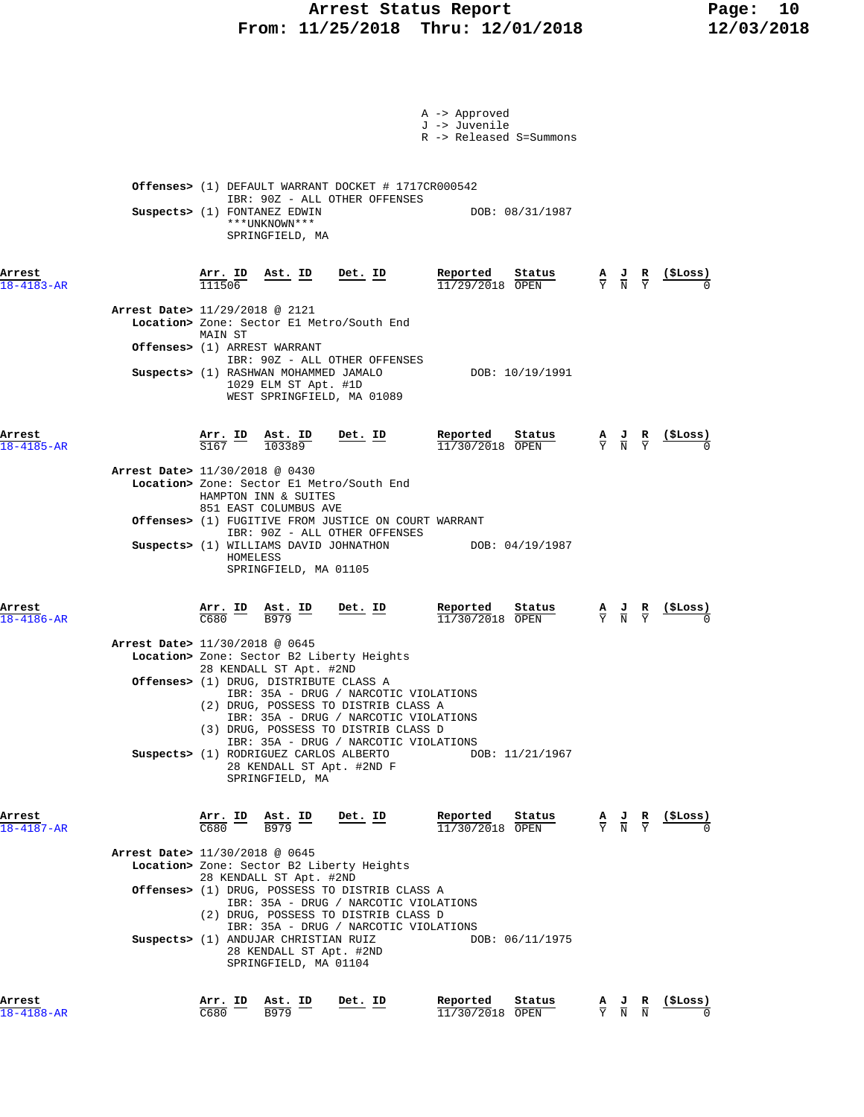### Arrest Status Report Fage: 10  **From: 11/25/2018 Thru: 12/01/2018 12/03/2018**

|                            |                                                                                                                                                                                                                                                                                                                                                                                                                                                                           |                | A -> Approved<br>J -> Juvenile<br>R -> Released S=Summons |                                                                                                 |                |
|----------------------------|---------------------------------------------------------------------------------------------------------------------------------------------------------------------------------------------------------------------------------------------------------------------------------------------------------------------------------------------------------------------------------------------------------------------------------------------------------------------------|----------------|-----------------------------------------------------------|-------------------------------------------------------------------------------------------------|----------------|
|                            | <b>Offenses&gt;</b> (1) DEFAULT WARRANT DOCKET # 1717CR000542<br>IBR: 90Z - ALL OTHER OFFENSES<br>Suspects> (1) FONTANEZ EDWIN<br>***UNKNOWN***<br>SPRINGFIELD, MA                                                                                                                                                                                                                                                                                                        |                | DOB: 08/31/1987                                           |                                                                                                 |                |
| Arrest<br>$18 - 4183 - AR$ | $\frac{\texttt{Arr.}}{111506}$<br><u>Ast. ID</u><br>Arrest Date> 11/29/2018 @ 2121                                                                                                                                                                                                                                                                                                                                                                                        | <u>Det. ID</u> | Reported<br><u>Status</u><br>11/29/2018 OPEN              | $\frac{\mathbf{A}}{\mathbf{Y}}$ $\frac{\mathbf{J}}{\mathbf{N}}$ $\frac{\mathbf{R}}{\mathbf{Y}}$ |                |
|                            | Location> Zone: Sector El Metro/South End<br>MAIN ST<br><b>Offenses&gt;</b> (1) ARREST WARRANT<br>IBR: 90Z - ALL OTHER OFFENSES<br>Suspects> (1) RASHWAN MOHAMMED JAMALO<br>1029 ELM ST Apt. #1D<br>WEST SPRINGFIELD, MA 01089                                                                                                                                                                                                                                            |                | DOB: 10/19/1991                                           |                                                                                                 |                |
| Arrest<br>$18 - 4185 - AR$ | $\frac{\texttt{Arr.}}{\texttt{S167}}$ ID<br>$\frac{\texttt{Ast.}}{103389}$<br>Arrest Date> 11/30/2018 @ 0430                                                                                                                                                                                                                                                                                                                                                              | <u>Det. ID</u> | Reported<br>Status<br>$11/30/2018$ OPEN                   | $\frac{\mathbf{A}}{\mathbf{Y}}$ $\frac{\mathbf{J}}{\mathbf{N}}$ $\frac{\mathbf{R}}{\mathbf{Y}}$ |                |
|                            | Location> Zone: Sector El Metro/South End<br>HAMPTON INN & SUITES<br>851 EAST COLUMBUS AVE<br><b>Offenses&gt;</b> (1) FUGITIVE FROM JUSTICE ON COURT WARRANT<br>IBR: 90Z - ALL OTHER OFFENSES<br>HOMELESS<br>SPRINGFIELD, MA 01105                                                                                                                                                                                                                                        |                | Suspects> (1) WILLIAMS DAVID JOHNATHON DOB: 04/19/1987    |                                                                                                 |                |
| Arrest<br>$18 - 4186 - AR$ | $\frac{\text{Arr.}}{\text{C680}}$ ID $\frac{\text{Ast.}}{\text{B979}}$                                                                                                                                                                                                                                                                                                                                                                                                    | <u>Det. ID</u> | Reported<br>Status<br>$11/30/2018$ OPEN                   | $\frac{\mathbf{A}}{\mathbf{Y}}$ $\frac{\mathbf{J}}{\mathbf{N}}$                                 |                |
|                            | Arrest Date> 11/30/2018 @ 0645<br>Location> Zone: Sector B2 Liberty Heights<br>28 KENDALL ST Apt. #2ND<br><b>Offenses&gt;</b> (1) DRUG, DISTRIBUTE CLASS A<br>IBR: 35A - DRUG / NARCOTIC VIOLATIONS<br>(2) DRUG, POSSESS TO DISTRIB CLASS A<br>IBR: 35A - DRUG / NARCOTIC VIOLATIONS<br>(3) DRUG, POSSESS TO DISTRIB CLASS D<br>IBR: 35A - DRUG / NARCOTIC VIOLATIONS<br>Suspects> (1) RODRIGUEZ CARLOS ALBERTO                                                           |                | DOB: 11/21/1967                                           |                                                                                                 |                |
| Arrest                     | 28 KENDALL ST Apt. #2ND F<br>SPRINGFIELD, MA                                                                                                                                                                                                                                                                                                                                                                                                                              |                | Status                                                    |                                                                                                 |                |
| 18-4187-AR                 | $\frac{\text{Arr.}}{\text{C680}}$ ID<br>$\frac{\texttt{Ast.}}{\texttt{B979}}$<br>Arrest Date> 11/30/2018 @ 0645<br>Location> Zone: Sector B2 Liberty Heights<br>28 KENDALL ST Apt. #2ND<br><b>Offenses&gt;</b> (1) DRUG, POSSESS TO DISTRIB CLASS A<br>IBR: 35A - DRUG / NARCOTIC VIOLATIONS<br>(2) DRUG, POSSESS TO DISTRIB CLASS D<br>IBR: 35A - DRUG / NARCOTIC VIOLATIONS<br>Suspects> (1) ANDUJAR CHRISTIAN RUIZ<br>28 KENDALL ST Apt. #2ND<br>SPRINGFIELD, MA 01104 | Det. ID        | Reported<br>11/30/2018 OPEN<br>DOB: 06/11/1975            | $\frac{\mathbf{A}}{\mathbf{Y}}$ $\frac{\mathbf{J}}{\mathbf{N}}$ $\frac{\mathbf{R}}{\mathbf{Y}}$ | <u>(SLoss)</u> |
| Arrest<br>$18 - 4188 - AR$ | Arr. ID<br>Ast. ID<br>C680<br>B979                                                                                                                                                                                                                                                                                                                                                                                                                                        | Det. ID        | Reported<br>Status<br>11/30/2018 OPEN                     | $\frac{A}{Y}$ $\frac{J}{N}$ $\frac{R}{N}$                                                       | (ŞLoss)        |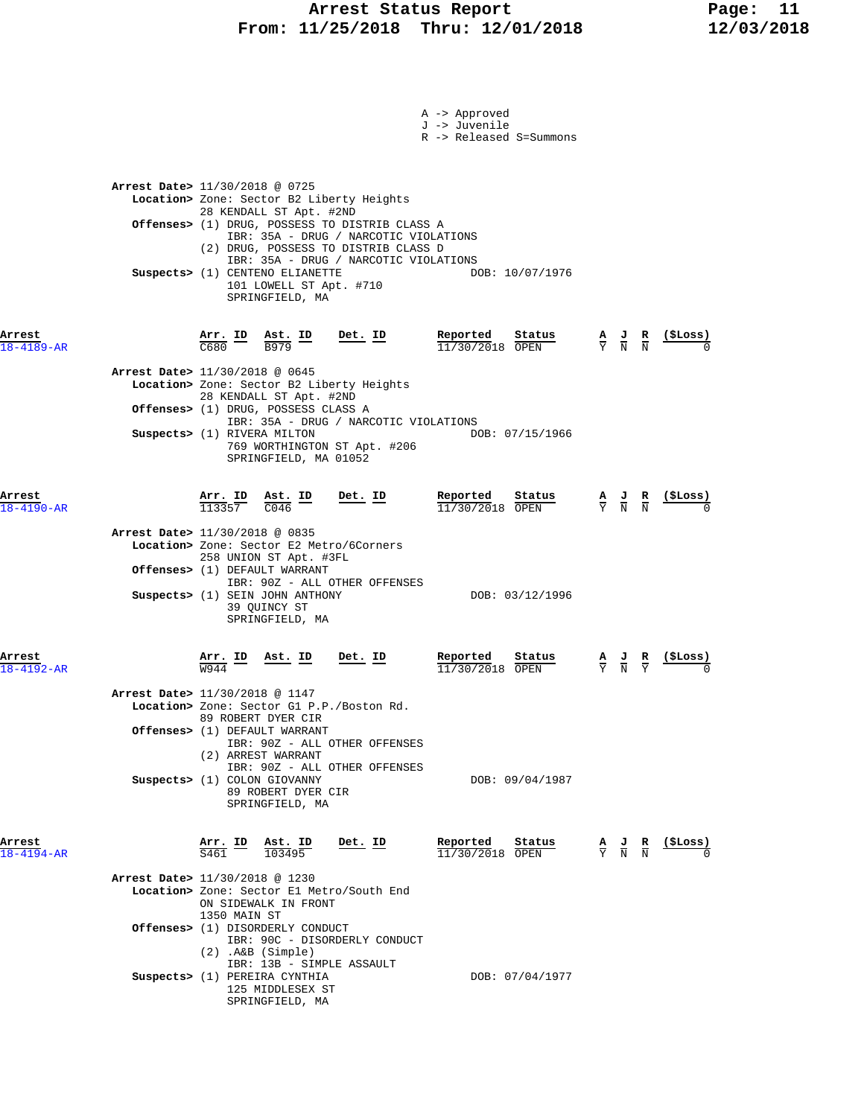### Arrest Status Report Fage: 11  **From: 11/25/2018 Thru: 12/01/2018 12/03/2018**

|                            |                                                                                                                                                                                                                                                                                                                                                                     | A -> Approved<br>J -> Juvenile<br>R -> Released S=Summons |                                                                                                                   |
|----------------------------|---------------------------------------------------------------------------------------------------------------------------------------------------------------------------------------------------------------------------------------------------------------------------------------------------------------------------------------------------------------------|-----------------------------------------------------------|-------------------------------------------------------------------------------------------------------------------|
|                            | Arrest Date> 11/30/2018 @ 0725<br>Location> Zone: Sector B2 Liberty Heights<br>28 KENDALL ST Apt. #2ND<br>Offenses> (1) DRUG, POSSESS TO DISTRIB CLASS A<br>IBR: 35A - DRUG / NARCOTIC VIOLATIONS<br>(2) DRUG, POSSESS TO DISTRIB CLASS D<br>IBR: 35A - DRUG / NARCOTIC VIOLATIONS<br>Suspects> (1) CENTENO ELIANETTE<br>101 LOWELL ST Apt. #710<br>SPRINGFIELD, MA | DOB: 10/07/1976                                           |                                                                                                                   |
| Arrest<br>$18 - 4189 - AR$ | $\frac{\texttt{Arr.}}{\texttt{C680}}$ ID<br>Det. ID<br>$\frac{\text{Ast. ID}}{2070}$<br><b>B979</b>                                                                                                                                                                                                                                                                 | Reported<br>Status<br>11/30/2018 OPEN                     | $\frac{A}{Y}$ $\frac{J}{N}$ $\frac{R}{N}$                                                                         |
|                            | Arrest Date> 11/30/2018 @ 0645<br>Location> Zone: Sector B2 Liberty Heights<br>28 KENDALL ST Apt. #2ND<br>Offenses> (1) DRUG, POSSESS CLASS A<br>IBR: 35A - DRUG / NARCOTIC VIOLATIONS<br>Suspects> (1) RIVERA MILTON<br>769 WORTHINGTON ST Apt. #206<br>SPRINGFIELD, MA 01052                                                                                      | DOB: 07/15/1966                                           |                                                                                                                   |
| Arrest<br>$18 - 4190 - AR$ | $\frac{\text{Arr. ID}}{113357}$ $\frac{\text{Ast. ID}}{C046}$<br>Det. ID<br>Arrest Date> 11/30/2018 @ 0835<br>Location> Zone: Sector E2 Metro/6Corners                                                                                                                                                                                                              | Reported<br>Status<br>$11/30/2018$ OPEN                   | <u>(ŞLoss)</u><br>$\frac{\mathbf{A}}{\mathbf{Y}}$ $\frac{\mathbf{J}}{\mathbf{N}}$ $\frac{\mathbf{R}}{\mathbf{N}}$ |
|                            | 258 UNION ST Apt. #3FL<br>Offenses> (1) DEFAULT WARRANT<br>IBR: 90Z - ALL OTHER OFFENSES<br>Suspects> (1) SEIN JOHN ANTHONY<br>39 QUINCY ST<br>SPRINGFIELD, MA                                                                                                                                                                                                      | DOB: 03/12/1996                                           |                                                                                                                   |
| Arrest<br>$8 - 4192 - AR$  | <u>Ast. ID</u><br>$Det$ . ID<br><u>Arr. ID</u><br>W944                                                                                                                                                                                                                                                                                                              | Reported<br>status<br>11/30/2018 OPEN                     | $\frac{A}{Y}$ $\frac{J}{N}$ $\frac{R}{Y}$                                                                         |
|                            | Arrest Date> 11/30/2018 @ 1147<br>Location> Zone: Sector G1 P.P./Boston Rd.<br>89 ROBERT DYER CIR<br>Offenses> (1) DEFAULT WARRANT<br>IBR: 90Z - ALL OTHER OFFENSES<br>(2) ARREST WARRANT<br>IBR: 90Z - ALL OTHER OFFENSES                                                                                                                                          |                                                           |                                                                                                                   |
|                            | Suspects> (1) COLON GIOVANNY<br>89 ROBERT DYER CIR<br>SPRINGFIELD, MA                                                                                                                                                                                                                                                                                               | DOB: 09/04/1987                                           |                                                                                                                   |
| Arrest<br>$18 - 4194 - AR$ | $\frac{\text{Arr.}}{\text{S461}}$ ID<br>Ast. ID<br>Det. ID<br>103495<br>Arrest Date> 11/30/2018 @ 1230                                                                                                                                                                                                                                                              | Reported<br>Status<br>$11/30/2018$ OPEN                   | (ŞLoss)<br>$\frac{A}{Y}$ $\frac{J}{N}$ $\frac{R}{N}$                                                              |
|                            | Location> Zone: Sector El Metro/South End<br>ON SIDEWALK IN FRONT<br>1350 MAIN ST                                                                                                                                                                                                                                                                                   |                                                           |                                                                                                                   |
|                            | Offenses> (1) DISORDERLY CONDUCT<br>IBR: 90C - DISORDERLY CONDUCT<br>$(2)$ . A&B $(Simple)$<br>IBR: 13B - SIMPLE ASSAULT                                                                                                                                                                                                                                            |                                                           |                                                                                                                   |
|                            | Suspects> (1) PEREIRA CYNTHIA<br>125 MIDDLESEX ST<br>SPRINGFIELD, MA                                                                                                                                                                                                                                                                                                | DOB: 07/04/1977                                           |                                                                                                                   |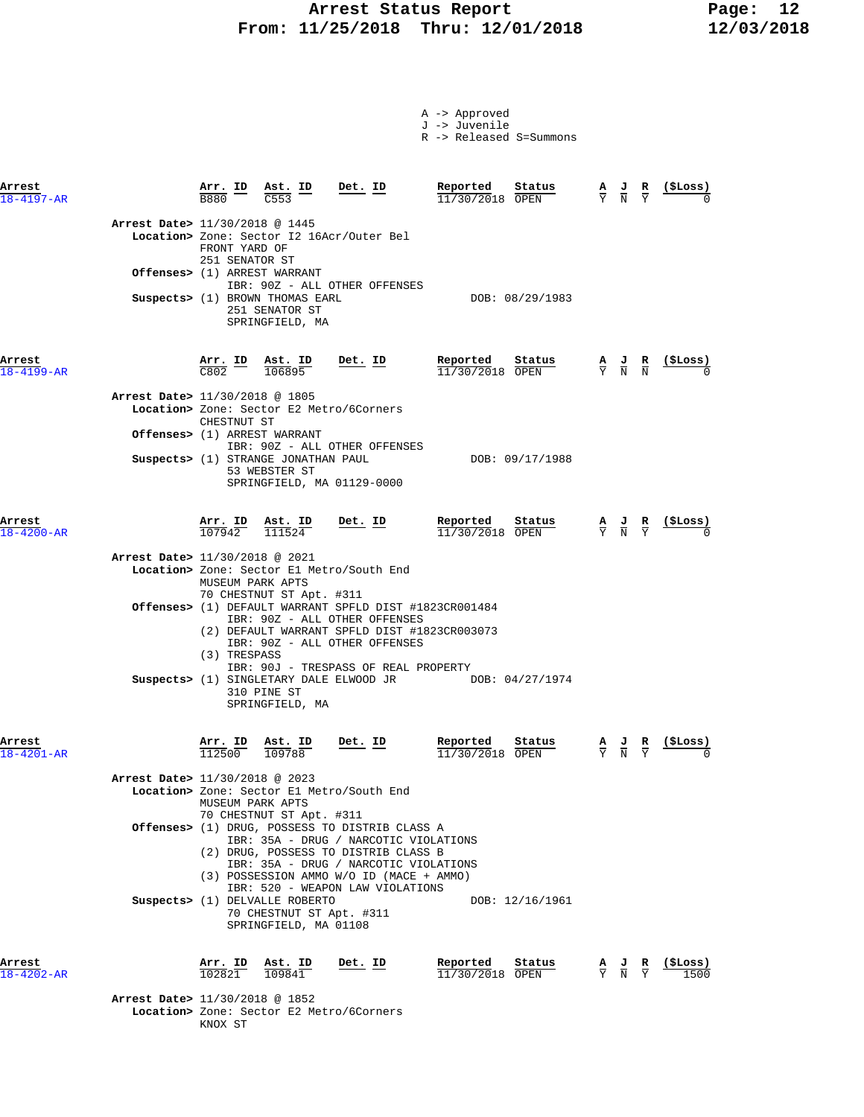# **Arrest Status Report 12<br>11/25/2018 Thru: 12/01/2018 12/03/2018 From: 11/25/2018 Thru: 12/01/2018 12/03/2018**

A -> Approved

|                            |                                |                                 |                                                                                     |                                                                                                                                                                          | J -> Juvenile<br>R -> Released S=Summons                |                                                                                                 |   |                 |
|----------------------------|--------------------------------|---------------------------------|-------------------------------------------------------------------------------------|--------------------------------------------------------------------------------------------------------------------------------------------------------------------------|---------------------------------------------------------|-------------------------------------------------------------------------------------------------|---|-----------------|
| Arrest<br>$18 - 4197 - AR$ |                                | Arr. ID<br>B880                 | Ast. ID<br>C <sub>553</sub>                                                         | Det. ID                                                                                                                                                                  | Reported<br>Status<br>$11/30/2018$ OPEN                 | $\frac{\mathbf{A}}{\mathbf{Y}}$ $\frac{\mathbf{J}}{\mathbf{N}}$ $\frac{\mathbf{R}}{\mathbf{Y}}$ |   | (SLoss)         |
|                            | Arrest Date> 11/30/2018 @ 1445 | FRONT YARD OF<br>251 SENATOR ST |                                                                                     | Location> Zone: Sector I2 16Acr/Outer Bel                                                                                                                                |                                                         |                                                                                                 |   |                 |
|                            |                                |                                 | Offenses> (1) ARREST WARRANT                                                        | IBR: 90Z - ALL OTHER OFFENSES                                                                                                                                            |                                                         |                                                                                                 |   |                 |
|                            |                                |                                 | Suspects> (1) BROWN THOMAS EARL<br>251 SENATOR ST<br>SPRINGFIELD, MA                |                                                                                                                                                                          | DOB: 08/29/1983                                         |                                                                                                 |   |                 |
| Arrest<br>$18 - 4199 - AR$ |                                |                                 | $\frac{\texttt{Arr.}}{\texttt{C802}}$ $\frac{\texttt{lab}}{106895}$                 | Det. ID                                                                                                                                                                  | Reported<br>Status<br>$11/30/2018$ OPEN                 | $\frac{A}{Y}$ $\frac{J}{N}$ $\frac{R}{N}$                                                       |   | <u>(SLoss)</u>  |
|                            | Arrest Date> 11/30/2018 @ 1805 | CHESTNUT ST                     | Location> Zone: Sector E2 Metro/6Corners                                            |                                                                                                                                                                          |                                                         |                                                                                                 |   |                 |
|                            |                                |                                 | <b>Offenses&gt;</b> (1) ARREST WARRANT                                              |                                                                                                                                                                          |                                                         |                                                                                                 |   |                 |
|                            |                                |                                 | Suspects> (1) STRANGE JONATHAN PAUL<br>53 WEBSTER ST<br>SPRINGFIELD, MA 01129-0000  | IBR: 90Z - ALL OTHER OFFENSES                                                                                                                                            | DOB: 09/17/1988                                         |                                                                                                 |   |                 |
| Arrest<br>$18 - 4200 - AR$ |                                |                                 | $\frac{\text{Arr. ID}}{107942}$ $\frac{\text{Ast. ID}}{111524}$ Det. ID             |                                                                                                                                                                          | Reported<br>Status<br>$11/30/2018$ OPEN                 | $\frac{\mathbf{A}}{\mathbf{Y}}$ $\frac{\mathbf{J}}{\mathbf{N}}$ $\frac{\mathbf{R}}{\mathbf{Y}}$ |   | <u>(\$Loss)</u> |
|                            | Arrest Date> 11/30/2018 @ 2021 |                                 |                                                                                     | Location> Zone: Sector El Metro/South End                                                                                                                                |                                                         |                                                                                                 |   |                 |
|                            |                                | MUSEUM PARK APTS                | 70 CHESTNUT ST Apt. #311                                                            |                                                                                                                                                                          |                                                         |                                                                                                 |   |                 |
|                            |                                | (3) TRESPASS                    |                                                                                     | Offenses> (1) DEFAULT WARRANT SPFLD DIST #1823CR001484<br>IBR: 90Z - ALL OTHER OFFENSES<br>(2) DEFAULT WARRANT SPFLD DIST #1823CR003073<br>IBR: 90Z - ALL OTHER OFFENSES |                                                         |                                                                                                 |   |                 |
|                            |                                |                                 | 310 PINE ST<br>SPRINGFIELD, MA                                                      | IBR: 90J - TRESPASS OF REAL PROPERTY                                                                                                                                     | Suspects> (1) SINGLETARY DALE ELWOOD JR DOB: 04/27/1974 |                                                                                                 |   |                 |
| Arrest<br>$18 - 4201 - AR$ |                                | $\frac{\texttt{Arr.}}{112500}$  | <b>Ast. ID</b><br>109788                                                            |                                                                                                                                                                          | Reported<br>Status<br>11/30/2018 OPEN                   |                                                                                                 | R | (SLoss)         |
|                            | Arrest Date> 11/30/2018 @ 2023 | MUSEUM PARK APTS                |                                                                                     | Location> Zone: Sector El Metro/South End                                                                                                                                |                                                         |                                                                                                 |   |                 |
|                            |                                |                                 | 70 CHESTNUT ST Apt. #311                                                            | Offenses> (1) DRUG, POSSESS TO DISTRIB CLASS A<br>IBR: 35A - DRUG / NARCOTIC VIOLATIONS                                                                                  |                                                         |                                                                                                 |   |                 |
|                            |                                |                                 |                                                                                     | (2) DRUG, POSSESS TO DISTRIB CLASS B<br>IBR: 35A - DRUG / NARCOTIC VIOLATIONS<br>(3) POSSESSION AMMO W/O ID (MACE + AMMO)<br>IBR: 520 - WEAPON LAW VIOLATIONS            |                                                         |                                                                                                 |   |                 |
|                            |                                |                                 | Suspects> (1) DELVALLE ROBERTO<br>70 CHESTNUT ST Apt. #311<br>SPRINGFIELD, MA 01108 |                                                                                                                                                                          | DOB: 12/16/1961                                         |                                                                                                 |   |                 |
| Arrest<br>$18 - 4202 - AR$ |                                | Arr. ID<br>102821               | Ast. ID<br>109841                                                                   | Det. ID                                                                                                                                                                  | Reported<br>Status<br>11/30/2018 OPEN                   | $\frac{\mathbf{A}}{\mathbf{Y}}$ $\frac{\mathbf{J}}{\mathbf{N}}$ $\frac{\mathbf{R}}{\mathbf{Y}}$ |   | (ŞLoss)         |
|                            | Arrest Date> 11/30/2018 @ 1852 |                                 | Location> Zone: Sector E2 Metro/6Corners                                            |                                                                                                                                                                          |                                                         |                                                                                                 |   |                 |

KNOX ST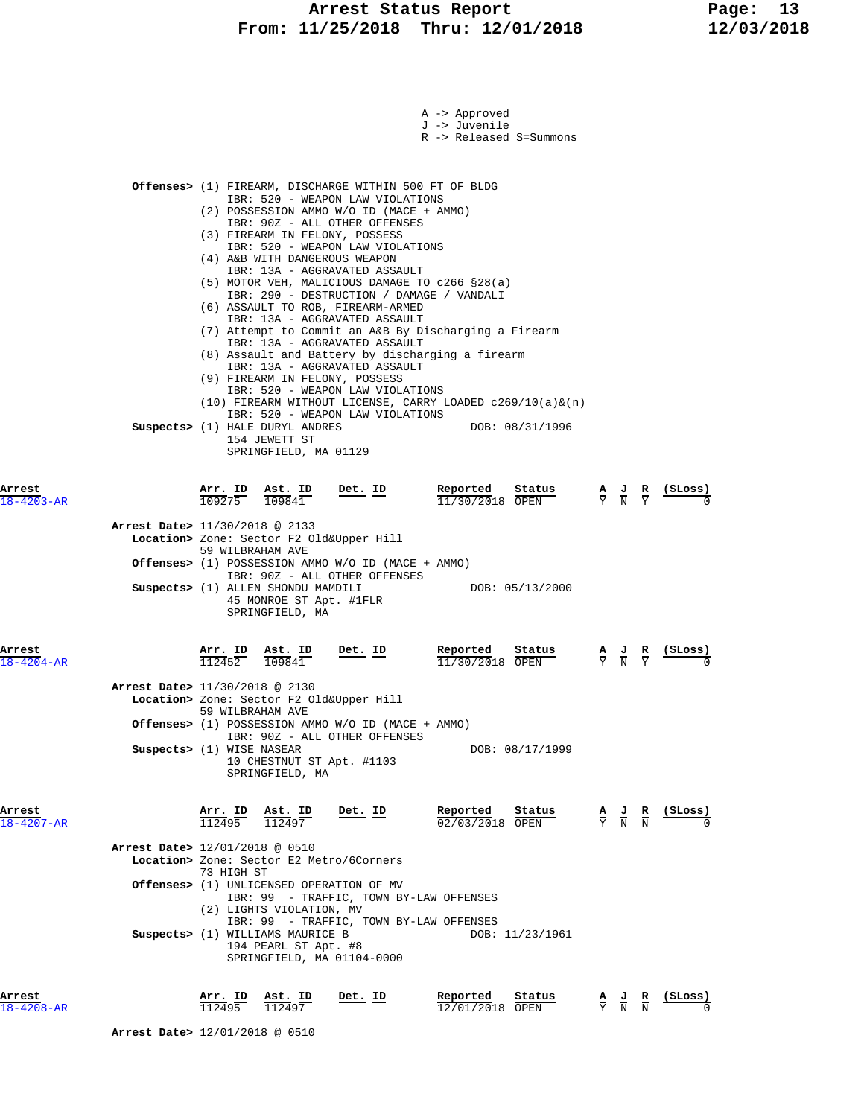|                            | A -> Approved<br>J -> Juvenile<br>R -> Released S=Summons                                                                                                                                                                                                                                                                                                                                                                                                                                                                                                                                                                                                                                                                                                                                                                                                                                                                                        |                                                                                                 |  |                |  |
|----------------------------|--------------------------------------------------------------------------------------------------------------------------------------------------------------------------------------------------------------------------------------------------------------------------------------------------------------------------------------------------------------------------------------------------------------------------------------------------------------------------------------------------------------------------------------------------------------------------------------------------------------------------------------------------------------------------------------------------------------------------------------------------------------------------------------------------------------------------------------------------------------------------------------------------------------------------------------------------|-------------------------------------------------------------------------------------------------|--|----------------|--|
|                            | Offenses> (1) FIREARM, DISCHARGE WITHIN 500 FT OF BLDG<br>IBR: 520 - WEAPON LAW VIOLATIONS<br>(2) POSSESSION AMMO W/O ID (MACE + AMMO)<br>IBR: 90Z - ALL OTHER OFFENSES<br>(3) FIREARM IN FELONY, POSSESS<br>IBR: 520 - WEAPON LAW VIOLATIONS<br>(4) A&B WITH DANGEROUS WEAPON<br>IBR: 13A - AGGRAVATED ASSAULT<br>$(5)$ MOTOR VEH, MALICIOUS DAMAGE TO c266 §28(a)<br>IBR: 290 - DESTRUCTION / DAMAGE / VANDALI<br>(6) ASSAULT TO ROB, FIREARM-ARMED<br>IBR: 13A - AGGRAVATED ASSAULT<br>(7) Attempt to Commit an A&B By Discharging a Firearm<br>IBR: 13A - AGGRAVATED ASSAULT<br>(8) Assault and Battery by discharging a firearm<br>IBR: 13A - AGGRAVATED ASSAULT<br>(9) FIREARM IN FELONY, POSSESS<br>IBR: 520 - WEAPON LAW VIOLATIONS<br>$(10)$ FIREARM WITHOUT LICENSE, CARRY LOADED c269/10(a) & (n)<br>IBR: 520 - WEAPON LAW VIOLATIONS<br>Suspects> (1) HALE DURYL ANDRES<br>DOB: 08/31/1996<br>154 JEWETT ST<br>SPRINGFIELD, MA 01129 |                                                                                                 |  |                |  |
| Arrest<br>$18 - 4203 - AR$ | Arr. ID<br>Ast. ID<br>Reported<br>Det. ID<br>Status<br>109275<br>109841<br>$11/30/2018$ OPEN<br>Arrest Date> 11/30/2018 @ 2133<br>Location> Zone: Sector F2 Old&Upper Hill<br>59 WILBRAHAM AVE<br>Offenses> (1) POSSESSION AMMO W/O ID (MACE + AMMO)<br>IBR: 90Z - ALL OTHER OFFENSES<br>Suspects> (1) ALLEN SHONDU MAMDILI<br>DOB: 05/13/2000<br>45 MONROE ST Apt. #1FLR<br>SPRINGFIELD, MA                                                                                                                                                                                                                                                                                                                                                                                                                                                                                                                                                     | $\frac{\mathbf{A}}{\mathbf{Y}}$ $\frac{\mathbf{J}}{\mathbf{N}}$ $\frac{\mathbf{R}}{\mathbf{Y}}$ |  | <u>(ŞLoss)</u> |  |
| Arrest<br>$18 - 4204 - AR$ | Reported<br>Arr. ID<br>Ast. ID<br>Det. ID<br>Status<br>112452<br>109841<br>11/30/2018 OPEN<br>Arrest Date> 11/30/2018 @ 2130<br>Location> Zone: Sector F2 Old&Upper Hill<br>59 WILBRAHAM AVE<br>Offenses> (1) POSSESSION AMMO W/O ID (MACE + AMMO)<br>IBR: 90Z - ALL OTHER OFFENSES<br>Suspects> (1) WISE NASEAR<br>DOB: 08/17/1999<br>10 CHESTNUT ST Apt. #1103<br>SPRINGFIELD, MA                                                                                                                                                                                                                                                                                                                                                                                                                                                                                                                                                              |                                                                                                 |  | (ŞLoss)        |  |
| Arrest<br>$18 - 4207 - AR$ | Arr. ID Ast. ID<br>Reported<br>Status<br>Det. ID<br>112495<br>112497<br>02/03/2018 OPEN<br>Arrest Date> 12/01/2018 @ 0510<br>Location> Zone: Sector E2 Metro/6Corners<br>73 HIGH ST<br><b>Offenses&gt;</b> (1) UNLICENSED OPERATION OF MV<br>IBR: 99 - TRAFFIC, TOWN BY-LAW OFFENSES<br>(2) LIGHTS VIOLATION, MV<br>IBR: 99 - TRAFFIC, TOWN BY-LAW OFFENSES<br>Suspects> (1) WILLIAMS MAURICE B<br>DOB: 11/23/1961<br>194 PEARL ST Apt. #8<br>SPRINGFIELD, MA 01104-0000                                                                                                                                                                                                                                                                                                                                                                                                                                                                         | $\frac{A}{Y}$ $\frac{J}{N}$ $\frac{R}{N}$                                                       |  | (ŞLoss)        |  |
| Arrest<br>$18 - 4208 - AR$ | Reported<br>Status<br><u>Arr. ID</u><br>Ast. ID<br>Det. ID<br>112495<br>112497<br>12/01/2018 OPEN                                                                                                                                                                                                                                                                                                                                                                                                                                                                                                                                                                                                                                                                                                                                                                                                                                                | $\frac{\mathbf{A}}{\mathbf{Y}}$ $\frac{\mathbf{J}}{\mathbf{N}}$ $\frac{\mathbf{R}}{\mathbf{N}}$ |  | <u>(ŞLoss)</u> |  |

 **Arrest Date>** 12/01/2018 @ 0510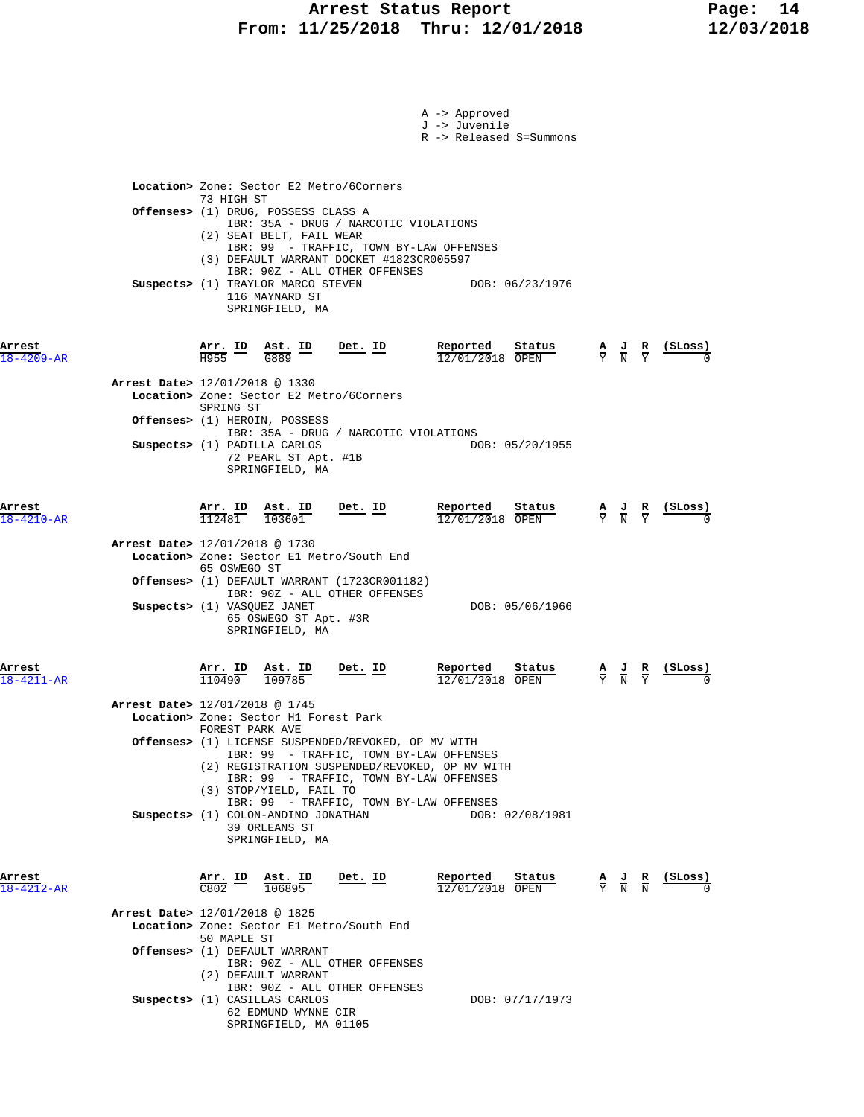|                            |                                                                                                                                                                                                                                                                                                                                                                       | A -> Approved<br>J -> Juvenile<br>R -> Released S=Summons |                                                                                                                  |
|----------------------------|-----------------------------------------------------------------------------------------------------------------------------------------------------------------------------------------------------------------------------------------------------------------------------------------------------------------------------------------------------------------------|-----------------------------------------------------------|------------------------------------------------------------------------------------------------------------------|
|                            | Location> Zone: Sector E2 Metro/6Corners<br>73 HIGH ST<br>Offenses> (1) DRUG, POSSESS CLASS A<br>IBR: 35A - DRUG / NARCOTIC VIOLATIONS<br>(2) SEAT BELT, FAIL WEAR<br>IBR: 99 - TRAFFIC, TOWN BY-LAW OFFENSES<br>(3) DEFAULT WARRANT DOCKET #1823CR005597<br>IBR: 90Z - ALL OTHER OFFENSES<br>Suspects> (1) TRAYLOR MARCO STEVEN<br>116 MAYNARD ST<br>SPRINGFIELD, MA | DOB: 06/23/1976                                           |                                                                                                                  |
| Arrest<br>$18 - 4209 - AR$ | $\frac{\text{Arr.}}{\text{H955}}$ ID<br>$\frac{\text{Ast. ID}}{\text{ceos}}$<br><u>Det. ID</u><br>G889                                                                                                                                                                                                                                                                | Reported<br>Status<br>12/01/2018 OPEN                     | $\frac{A}{Y}$ $\frac{J}{N}$ $\frac{R}{Y}$                                                                        |
|                            | Arrest Date> 12/01/2018 @ 1330<br>Location> Zone: Sector E2 Metro/6Corners<br>SPRING ST<br><b>Offenses&gt;</b> (1) HEROIN, POSSESS<br>IBR: 35A - DRUG / NARCOTIC VIOLATIONS<br>Suspects> (1) PADILLA CARLOS<br>72 PEARL ST Apt. #1B<br>SPRINGFIELD, MA                                                                                                                | DOB: 05/20/1955                                           |                                                                                                                  |
| Arrest<br>$18 - 4210 - AR$ | $\frac{\texttt{Arr.}}{112481}$<br>Ast. ID<br><u>Det. ID</u><br>103601<br>Arrest Date> 12/01/2018 @ 1730<br>Location> Zone: Sector El Metro/South End<br>65 OSWEGO ST<br><b>Offenses&gt;</b> (1) DEFAULT WARRANT (1723CR001182)<br>IBR: 90Z - ALL OTHER OFFENSES<br>Suspects> (1) VASQUEZ JANET<br>65 OSWEGO ST Apt. #3R<br>SPRINGFIELD, MA                            | Reported<br>Status<br>12/01/2018 OPEN<br>DOB: 05/06/1966  | $\frac{1}{2}$<br>$\frac{\mathbf{A}}{\mathbf{Y}}$ $\frac{\mathbf{J}}{\mathbf{N}}$ $\frac{\mathbf{R}}{\mathbf{Y}}$ |
| Arrest<br>$18 - 4211 - AR$ | Arr. ID<br><u>Det. ID</u><br>Ast. ID<br>110490<br>109785<br>Arrest Date> 12/01/2018 @ 1745<br>Location> Zone: Sector H1 Forest Park<br>FOREST PARK AVE<br>Offenses> (1) LICENSE SUSPENDED/REVOKED, OP MV WITH<br>IBR: 99 - TRAFFIC, TOWN BY-LAW OFFENSES<br>(2) REGISTRATION SUSPENDED/REVOKED, OP MV WITH                                                            | Reported<br>status<br>12/01/2018 OPEN                     | $\frac{\mathbf{A}}{\mathbf{Y}}$ $\frac{\mathbf{J}}{\mathbf{N}}$ $\frac{\mathbf{R}}{\mathbf{Y}}$                  |
|                            | IBR: 99 - TRAFFIC, TOWN BY-LAW OFFENSES<br>(3) STOP/YIELD, FAIL TO<br>IBR: 99 - TRAFFIC, TOWN BY-LAW OFFENSES<br>Suspects> (1) COLON-ANDINO JONATHAN<br>39 ORLEANS ST<br>SPRINGFIELD, MA                                                                                                                                                                              | DOB: 02/08/1981                                           |                                                                                                                  |
| Arrest<br>$18 - 4212 - AR$ | <u>Arr. ID</u><br>$\frac{\texttt{Ast.}}{106895}$<br><u>Det. ID</u><br>C802<br>Arrest Date> 12/01/2018 @ 1825<br>Location> Zone: Sector El Metro/South End<br>50 MAPLE ST<br>Offenses> (1) DEFAULT WARRANT<br>IBR: 90Z - ALL OTHER OFFENSES<br>(2) DEFAULT WARRANT<br>IBR: 90Z - ALL OTHER OFFENSES<br>Suspects> (1) CASILLAS CARLOS<br>62 EDMUND WYNNE CIR            | Reported<br>Status<br>12/01/2018 OPEN<br>DOB: 07/17/1973  | (ŞLoss)<br>$\frac{\mathbf{A}}{\mathbf{Y}}$ $\frac{\mathbf{J}}{\mathbf{N}}$ $\frac{\mathbf{R}}{\mathbf{N}}$       |
|                            | SPRINGFIELD, MA 01105                                                                                                                                                                                                                                                                                                                                                 |                                                           |                                                                                                                  |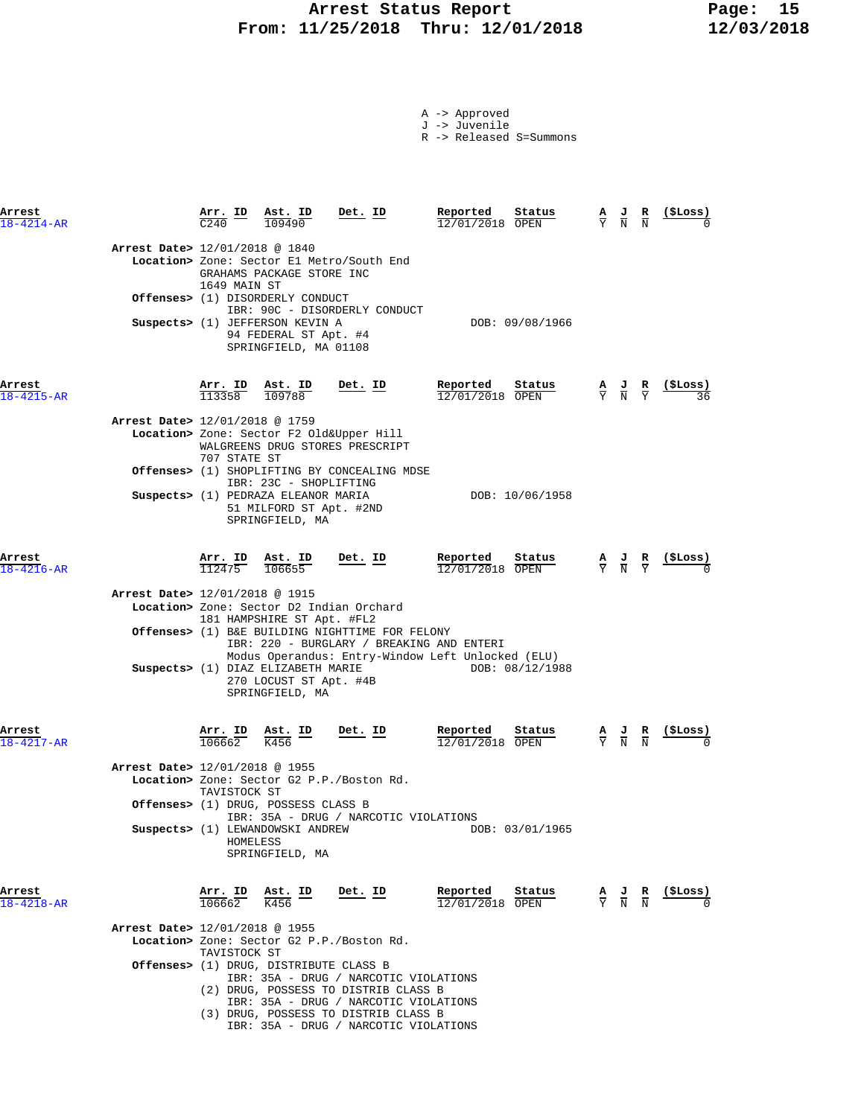## **Arrest Status Report 15<br>11/25/2018 Thru: 12/01/2018 12/03/2018 From: 11/25/2018 Thru: 12/01/2018 12/03/2018**

|  | -> Approved |  |
|--|-------------|--|
|  |             |  |

J -> Juvenile

R -> Released S=Summons

| Arrest<br>18-4214-AR |                                | Arr. ID<br>C <sub>240</sub>    | Ast. ID<br>109490                                                                                                                   | Det. ID                                                                                                                                                        | Reported<br>Status<br>12/01/2018 OPEN                                | А<br>Y | ਾ<br>$\overline{\overline{N}}$                                                                  | R<br>$\overline{\rm N}$ | (\$Loss)       |
|----------------------|--------------------------------|--------------------------------|-------------------------------------------------------------------------------------------------------------------------------------|----------------------------------------------------------------------------------------------------------------------------------------------------------------|----------------------------------------------------------------------|--------|-------------------------------------------------------------------------------------------------|-------------------------|----------------|
|                      | Arrest Date> 12/01/2018 @ 1840 | 1649 MAIN ST                   | GRAHAMS PACKAGE STORE INC<br><b>Offenses&gt;</b> (1) DISORDERLY CONDUCT<br>Suspects> (1) JEFFERSON KEVIN A<br>94 FEDERAL ST Apt. #4 | Location> Zone: Sector El Metro/South End<br>IBR: 90C - DISORDERLY CONDUCT                                                                                     | DOB: 09/08/1966                                                      |        |                                                                                                 |                         |                |
|                      |                                |                                | SPRINGFIELD, MA 01108                                                                                                               |                                                                                                                                                                |                                                                      |        |                                                                                                 |                         |                |
| Arrest<br>18-4215-AR |                                | Arr. ID<br>113358              | Ast. ID<br>109788                                                                                                                   | <u>Det. ID</u>                                                                                                                                                 | Reported<br>Status<br>$12/01/2018$ OPEN                              |        | $\frac{\mathbf{A}}{\mathbf{Y}}$ $\frac{\mathbf{J}}{\mathbf{N}}$ $\frac{\mathbf{R}}{\mathbf{Y}}$ |                         |                |
|                      | Arrest Date> 12/01/2018 @ 1759 | 707 STATE ST                   |                                                                                                                                     | Location> Zone: Sector F2 Old&Upper Hill<br>WALGREENS DRUG STORES PRESCRIPT                                                                                    |                                                                      |        |                                                                                                 |                         |                |
|                      |                                |                                | IBR: 23C - SHOPLIFTING<br>Suspects> (1) PEDRAZA ELEANOR MARIA<br>51 MILFORD ST Apt. #2ND<br>SPRINGFIELD, MA                         | <b>Offenses&gt;</b> (1) SHOPLIFTING BY CONCEALING MDSE                                                                                                         | DOB: 10/06/1958                                                      |        |                                                                                                 |                         |                |
| Arrest<br>18-4216-AR |                                | $\frac{\text{Arr.}}{112475}$   | <u>Ast. ID</u><br>106655                                                                                                            | Det. ID                                                                                                                                                        | Reported<br>Status<br>12/01/2018 OPEN                                |        | $\frac{\mathbf{A}}{\mathbf{Y}}$ $\frac{\mathbf{J}}{\mathbf{N}}$ $\frac{\mathbf{R}}{\mathbf{Y}}$ |                         |                |
|                      | Arrest Date> 12/01/2018 @ 1915 |                                | 181 HAMPSHIRE ST Apt. #FL2<br>Suspects> (1) DIAZ ELIZABETH MARIE<br>270 LOCUST ST Apt. #4B<br>SPRINGFIELD, MA                       | Location> Zone: Sector D2 Indian Orchard<br><b>Offenses&gt;</b> (1) B&E BUILDING NIGHTTIME FOR FELONY<br>IBR: 220 - BURGLARY / BREAKING AND ENTERI             | Modus Operandus: Entry-Window Left Unlocked (ELU)<br>DOB: 08/12/1988 |        |                                                                                                 |                         |                |
| Arrest<br>18-4217-AR |                                | $\frac{\texttt{Arr.}}{106662}$ | <u>Ast. ID</u><br>K456                                                                                                              | Det. ID                                                                                                                                                        | Reported<br>Status<br>12/01/2018 OPEN                                |        | $\frac{\mathbf{A}}{\mathbf{Y}}$ $\frac{\mathbf{J}}{\mathbf{N}}$                                 |                         | <u>(SLoss)</u> |
|                      | Arrest Date> 12/01/2018 @ 1955 | TAVISTOCK ST<br>HOMELESS       | Offenses> (1) DRUG, POSSESS CLASS B<br>Suspects> (1) LEWANDOWSKI ANDREW<br>SPRINGFIELD, MA                                          | Location> Zone: Sector G2 P.P./Boston Rd.<br>IBR: 35A - DRUG / NARCOTIC VIOLATIONS                                                                             | DOB: 03/01/1965                                                      |        |                                                                                                 |                         |                |
| Arrest<br>18-4218-AR |                                | Arr. ID<br>106662              | Ast. ID<br>$\overline{K}$ 456                                                                                                       | Det. ID                                                                                                                                                        | Reported<br>Status<br>12/01/2018 OPEN                                |        | $\frac{A}{Y}$ $\frac{J}{N}$                                                                     | R<br>$\overline{N}$     | (\$Loss)       |
|                      | Arrest Date> 12/01/2018 @ 1955 | TAVISTOCK ST                   |                                                                                                                                     | Location> Zone: Sector G2 P.P./Boston Rd.                                                                                                                      |                                                                      |        |                                                                                                 |                         |                |
|                      |                                |                                | Offenses> (1) DRUG, DISTRIBUTE CLASS B                                                                                              | IBR: 35A - DRUG / NARCOTIC VIOLATIONS<br>(2) DRUG, POSSESS TO DISTRIB CLASS B<br>IBR: 35A - DRUG / NARCOTIC VIOLATIONS<br>(3) DRUG, POSSESS TO DISTRIB CLASS B |                                                                      |        |                                                                                                 |                         |                |

IBR: 35A - DRUG / NARCOTIC VIOLATIONS